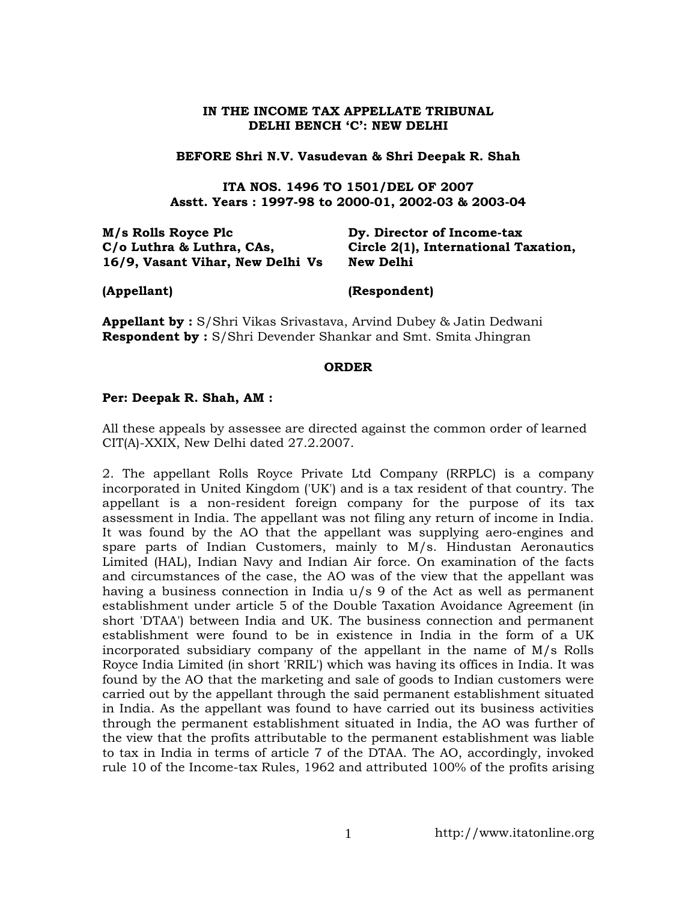### **IN THE INCOME TAX APPELLATE TRIBUNAL DELHI BENCH 'C': NEW DELHI**

### **BEFORE Shri N.V. Vasudevan & Shri Deepak R. Shah**

**ITA NOS. 1496 TO 1501/DEL OF 2007 Asstt. Years : 1997-98 to 2000-01, 2002-03 & 2003-04**

| Dy. Director of Income-tax           |
|--------------------------------------|
| Circle 2(1), International Taxation, |
| New Delhi                            |
|                                      |

**(Appellant) (Respondent)**

**Appellant by :** S/Shri Vikas Srivastava, Arvind Dubey & Jatin Dedwani **Respondent by :** S/Shri Devender Shankar and Smt. Smita Jhingran

#### **ORDER**

### **Per: Deepak R. Shah, AM :**

All these appeals by assessee are directed against the common order of learned CIT(A)-XXIX, New Delhi dated 27.2.2007.

2. The appellant Rolls Royce Private Ltd Company (RRPLC) is a company incorporated in United Kingdom ('UK') and is a tax resident of that country. The appellant is a non-resident foreign company for the purpose of its tax assessment in India. The appellant was not filing any return of income in India. It was found by the AO that the appellant was supplying aero-engines and spare parts of Indian Customers, mainly to M/s. Hindustan Aeronautics Limited (HAL), Indian Navy and Indian Air force. On examination of the facts and circumstances of the case, the AO was of the view that the appellant was having a business connection in India u/s 9 of the Act as well as permanent establishment under article 5 of the Double Taxation Avoidance Agreement (in short 'DTAA') between India and UK. The business connection and permanent establishment were found to be in existence in India in the form of a UK incorporated subsidiary company of the appellant in the name of M/s Rolls Royce India Limited (in short 'RRIL') which was having its offices in India. It was found by the AO that the marketing and sale of goods to Indian customers were carried out by the appellant through the said permanent establishment situated in India. As the appellant was found to have carried out its business activities through the permanent establishment situated in India, the AO was further of the view that the profits attributable to the permanent establishment was liable to tax in India in terms of article 7 of the DTAA. The AO, accordingly, invoked rule 10 of the Income-tax Rules, 1962 and attributed 100% of the profits arising

1 http://www.itatonline.org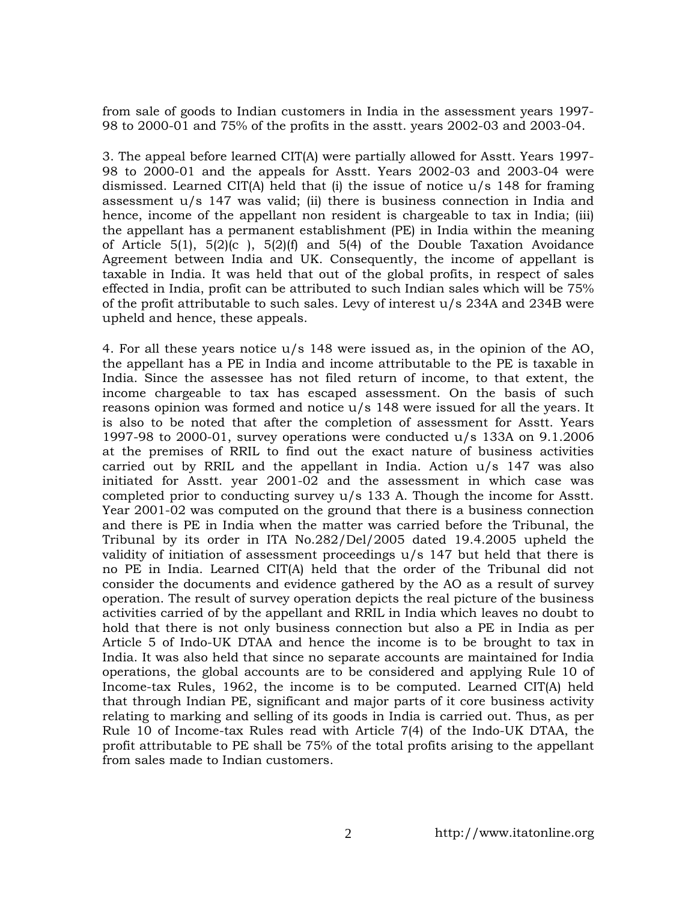from sale of goods to Indian customers in India in the assessment years 1997- 98 to 2000-01 and 75% of the profits in the asstt. years 2002-03 and 2003-04.

3. The appeal before learned CIT(A) were partially allowed for Asstt. Years 1997- 98 to 2000-01 and the appeals for Asstt. Years 2002-03 and 2003-04 were dismissed. Learned CIT(A) held that (i) the issue of notice  $u/s$  148 for framing assessment u/s 147 was valid; (ii) there is business connection in India and hence, income of the appellant non resident is chargeable to tax in India; (iii) the appellant has a permanent establishment (PE) in India within the meaning of Article 5(1), 5(2)(c), 5(2)(f) and 5(4) of the Double Taxation Avoidance Agreement between India and UK. Consequently, the income of appellant is taxable in India. It was held that out of the global profits, in respect of sales effected in India, profit can be attributed to such Indian sales which will be 75% of the profit attributable to such sales. Levy of interest  $u/s$  234A and 234B were upheld and hence, these appeals.

4. For all these years notice u/s 148 were issued as, in the opinion of the AO, the appellant has a PE in India and income attributable to the PE is taxable in India. Since the assessee has not filed return of income, to that extent, the income chargeable to tax has escaped assessment. On the basis of such reasons opinion was formed and notice u/s 148 were issued for all the years. It is also to be noted that after the completion of assessment for Asstt. Years 1997-98 to 2000-01, survey operations were conducted u/s 133A on 9.1.2006 at the premises of RRIL to find out the exact nature of business activities carried out by RRIL and the appellant in India. Action  $u/s$  147 was also initiated for Asstt. year 2001-02 and the assessment in which case was completed prior to conducting survey u/s 133 A. Though the income for Asstt. Year 2001-02 was computed on the ground that there is a business connection and there is PE in India when the matter was carried before the Tribunal, the Tribunal by its order in ITA No.282/Del/2005 dated 19.4.2005 upheld the validity of initiation of assessment proceedings u/s 147 but held that there is no PE in India. Learned CIT(A) held that the order of the Tribunal did not consider the documents and evidence gathered by the AO as a result of survey operation. The result of survey operation depicts the real picture of the business activities carried of by the appellant and RRIL in India which leaves no doubt to hold that there is not only business connection but also a PE in India as per Article 5 of Indo-UK DTAA and hence the income is to be brought to tax in India. It was also held that since no separate accounts are maintained for India operations, the global accounts are to be considered and applying Rule 10 of Income-tax Rules, 1962, the income is to be computed. Learned CIT(A) held that through Indian PE, significant and major parts of it core business activity relating to marking and selling of its goods in India is carried out. Thus, as per Rule 10 of Income-tax Rules read with Article 7(4) of the Indo-UK DTAA, the profit attributable to PE shall be 75% of the total profits arising to the appellant from sales made to Indian customers.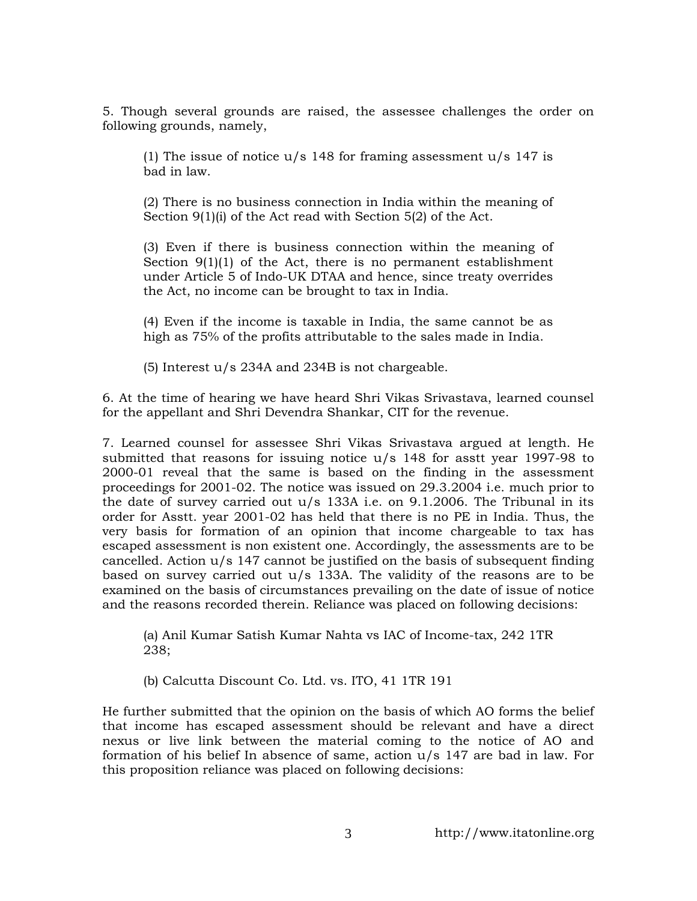5. Though several grounds are raised, the assessee challenges the order on following grounds, namely,

(1) The issue of notice  $u/s$  148 for framing assessment  $u/s$  147 is bad in law.

(2) There is no business connection in India within the meaning of Section 9(1)(i) of the Act read with Section 5(2) of the Act.

(3) Even if there is business connection within the meaning of Section 9(1)(1) of the Act, there is no permanent establishment under Article 5 of Indo-UK DTAA and hence, since treaty overrides the Act, no income can be brought to tax in India.

(4) Even if the income is taxable in India, the same cannot be as high as 75% of the profits attributable to the sales made in India.

(5) Interest u/s 234A and 234B is not chargeable.

6. At the time of hearing we have heard Shri Vikas Srivastava, learned counsel for the appellant and Shri Devendra Shankar, CIT for the revenue.

7. Learned counsel for assessee Shri Vikas Srivastava argued at length. He submitted that reasons for issuing notice  $u/s$  148 for asstt year 1997-98 to 2000-01 reveal that the same is based on the finding in the assessment proceedings for 2001-02. The notice was issued on 29.3.2004 i.e. much prior to the date of survey carried out u/s 133A i.e. on 9.1.2006. The Tribunal in its order for Asstt. year 2001-02 has held that there is no PE in India. Thus, the very basis for formation of an opinion that income chargeable to tax has escaped assessment is non existent one. Accordingly, the assessments are to be cancelled. Action u/s 147 cannot be justified on the basis of subsequent finding based on survey carried out  $u/s$  133A. The validity of the reasons are to be examined on the basis of circumstances prevailing on the date of issue of notice and the reasons recorded therein. Reliance was placed on following decisions:

(a) Anil Kumar Satish Kumar Nahta vs IAC of Income-tax, 242 1TR 238;

(b) Calcutta Discount Co. Ltd. vs. ITO, 41 1TR 191

He further submitted that the opinion on the basis of which AO forms the belief that income has escaped assessment should be relevant and have a direct nexus or live link between the material coming to the notice of AO and formation of his belief In absence of same, action u/s 147 are bad in law. For this proposition reliance was placed on following decisions: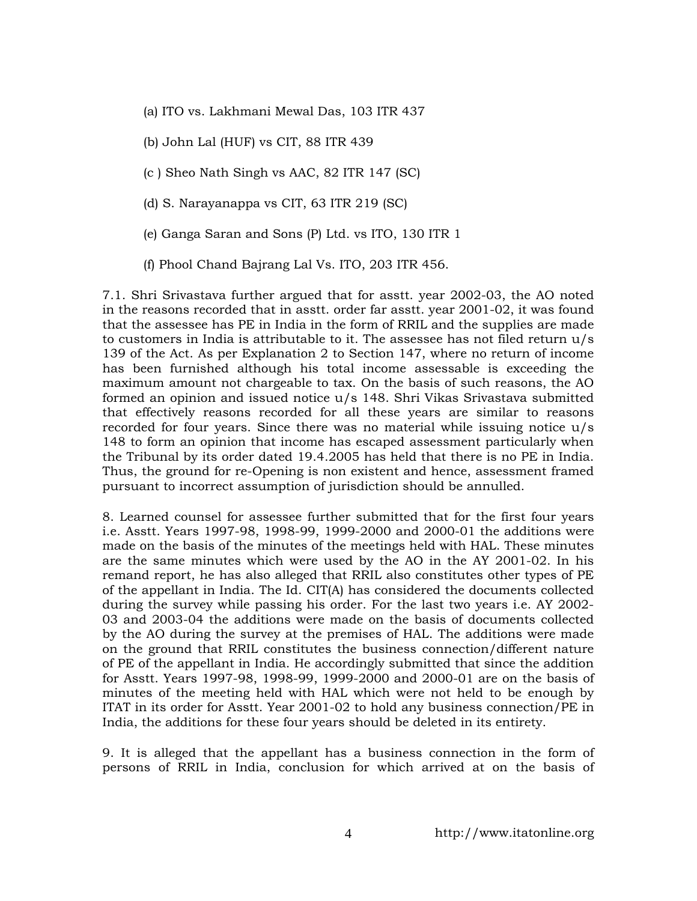- (a) ITO vs. Lakhmani Mewal Das, 103 ITR 437
- (b) John Lal (HUF) vs CIT, 88 ITR 439
- (c ) Sheo Nath Singh vs AAC, 82 ITR 147 (SC)
- (d) S. Narayanappa vs CIT, 63 ITR 219 (SC)
- (e) Ganga Saran and Sons (P) Ltd. vs ITO, 130 ITR 1
- (f) Phool Chand Bajrang Lal Vs. ITO, 203 ITR 456.

7.1. Shri Srivastava further argued that for asstt. year 2002-03, the AO noted in the reasons recorded that in asstt. order far asstt. year 2001-02, it was found that the assessee has PE in India in the form of RRIL and the supplies are made to customers in India is attributable to it. The assessee has not filed return u/s 139 of the Act. As per Explanation 2 to Section 147, where no return of income has been furnished although his total income assessable is exceeding the maximum amount not chargeable to tax. On the basis of such reasons, the AO formed an opinion and issued notice u/s 148. Shri Vikas Srivastava submitted that effectively reasons recorded for all these years are similar to reasons recorded for four years. Since there was no material while issuing notice  $u/s$ 148 to form an opinion that income has escaped assessment particularly when the Tribunal by its order dated 19.4.2005 has held that there is no PE in India. Thus, the ground for re-Opening is non existent and hence, assessment framed pursuant to incorrect assumption of jurisdiction should be annulled.

8. Learned counsel for assessee further submitted that for the first four years i.e. Asstt. Years 1997-98, 1998-99, 1999-2000 and 2000-01 the additions were made on the basis of the minutes of the meetings held with HAL. These minutes are the same minutes which were used by the AO in the AY 2001-02. In his remand report, he has also alleged that RRIL also constitutes other types of PE of the appellant in India. The Id. CIT(A) has considered the documents collected during the survey while passing his order. For the last two years i.e. AY 2002- 03 and 2003-04 the additions were made on the basis of documents collected by the AO during the survey at the premises of HAL. The additions were made on the ground that RRIL constitutes the business connection/different nature of PE of the appellant in India. He accordingly submitted that since the addition for Asstt. Years 1997-98, 1998-99, 1999-2000 and 2000-01 are on the basis of minutes of the meeting held with HAL which were not held to be enough by ITAT in its order for Asstt. Year 2001-02 to hold any business connection/PE in India, the additions for these four years should be deleted in its entirety.

9. It is alleged that the appellant has a business connection in the form of persons of RRIL in India, conclusion for which arrived at on the basis of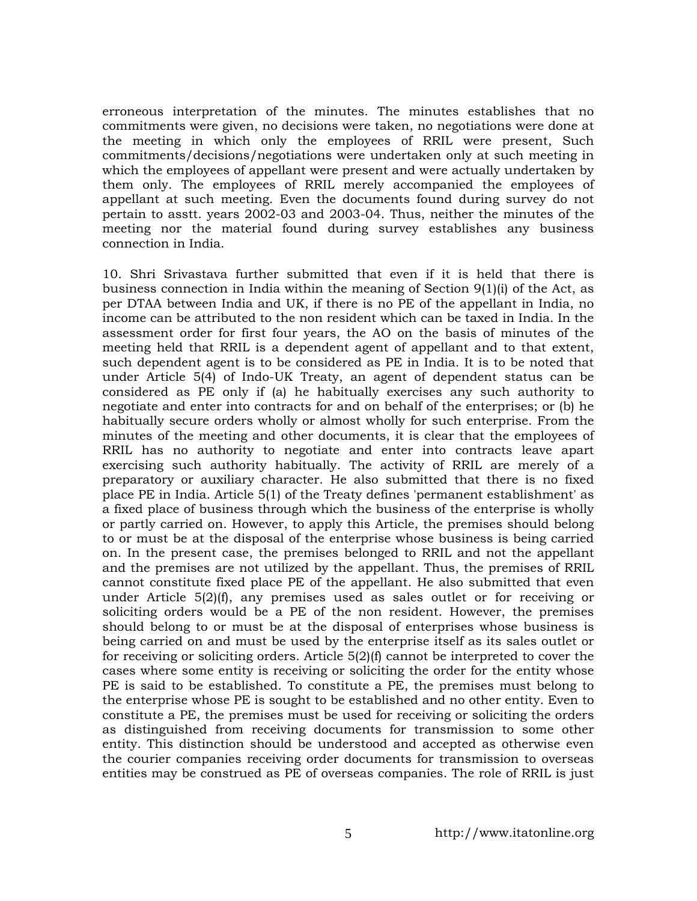erroneous interpretation of the minutes. The minutes establishes that no commitments were given, no decisions were taken, no negotiations were done at the meeting in which only the employees of RRIL were present, Such commitments/decisions/negotiations were undertaken only at such meeting in which the employees of appellant were present and were actually undertaken by them only. The employees of RRIL merely accompanied the employees of appellant at such meeting. Even the documents found during survey do not pertain to asstt. years 2002-03 and 2003-04. Thus, neither the minutes of the meeting nor the material found during survey establishes any business connection in India.

10. Shri Srivastava further submitted that even if it is held that there is business connection in India within the meaning of Section 9(1)(i) of the Act, as per DTAA between India and UK, if there is no PE of the appellant in India, no income can be attributed to the non resident which can be taxed in India. In the assessment order for first four years, the AO on the basis of minutes of the meeting held that RRIL is a dependent agent of appellant and to that extent, such dependent agent is to be considered as PE in India. It is to be noted that under Article 5(4) of Indo-UK Treaty, an agent of dependent status can be considered as PE only if (a) he habitually exercises any such authority to negotiate and enter into contracts for and on behalf of the enterprises; or (b) he habitually secure orders wholly or almost wholly for such enterprise. From the minutes of the meeting and other documents, it is clear that the employees of RRIL has no authority to negotiate and enter into contracts leave apart exercising such authority habitually. The activity of RRIL are merely of a preparatory or auxiliary character. He also submitted that there is no fixed place PE in India. Article 5(1) of the Treaty defines 'permanent establishment' as a fixed place of business through which the business of the enterprise is wholly or partly carried on. However, to apply this Article, the premises should belong to or must be at the disposal of the enterprise whose business is being carried on. In the present case, the premises belonged to RRIL and not the appellant and the premises are not utilized by the appellant. Thus, the premises of RRIL cannot constitute fixed place PE of the appellant. He also submitted that even under Article  $5(2)(f)$ , any premises used as sales outlet or for receiving or soliciting orders would be a PE of the non resident. However, the premises should belong to or must be at the disposal of enterprises whose business is being carried on and must be used by the enterprise itself as its sales outlet or for receiving or soliciting orders. Article 5(2)(f) cannot be interpreted to cover the cases where some entity is receiving or soliciting the order for the entity whose PE is said to be established. To constitute a PE, the premises must belong to the enterprise whose PE is sought to be established and no other entity. Even to constitute a PE, the premises must be used for receiving or soliciting the orders as distinguished from receiving documents for transmission to some other entity. This distinction should be understood and accepted as otherwise even the courier companies receiving order documents for transmission to overseas entities may be construed as PE of overseas companies. The role of RRIL is just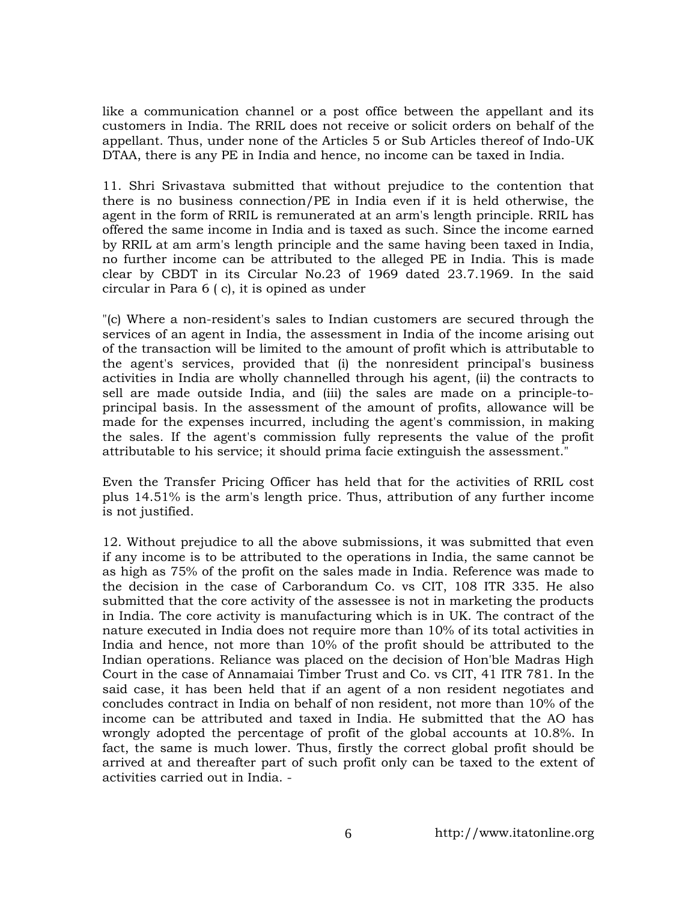like a communication channel or a post office between the appellant and its customers in India. The RRIL does not receive or solicit orders on behalf of the appellant. Thus, under none of the Articles 5 or Sub Articles thereof of Indo-UK DTAA, there is any PE in India and hence, no income can be taxed in India.

11. Shri Srivastava submitted that without prejudice to the contention that there is no business connection/PE in India even if it is held otherwise, the agent in the form of RRIL is remunerated at an arm's length principle. RRIL has offered the same income in India and is taxed as such. Since the income earned by RRIL at am arm's length principle and the same having been taxed in India, no further income can be attributed to the alleged PE in India. This is made clear by CBDT in its Circular No.23 of 1969 dated 23.7.1969. In the said circular in Para 6 ( c), it is opined as under

"(c) Where a non-resident's sales to Indian customers are secured through the services of an agent in India, the assessment in India of the income arising out of the transaction will be limited to the amount of profit which is attributable to the agent's services, provided that (i) the nonresident principal's business activities in India are wholly channelled through his agent, (ii) the contracts to sell are made outside India, and (iii) the sales are made on a principle-toprincipal basis. In the assessment of the amount of profits, allowance will be made for the expenses incurred, including the agent's commission, in making the sales. If the agent's commission fully represents the value of the profit attributable to his service; it should prima facie extinguish the assessment."

Even the Transfer Pricing Officer has held that for the activities of RRIL cost plus 14.51% is the arm's length price. Thus, attribution of any further income is not justified.

12. Without prejudice to all the above submissions, it was submitted that even if any income is to be attributed to the operations in India, the same cannot be as high as 75% of the profit on the sales made in India. Reference was made to the decision in the case of Carborandum Co. vs CIT, 108 ITR 335. He also submitted that the core activity of the assessee is not in marketing the products in India. The core activity is manufacturing which is in UK. The contract of the nature executed in India does not require more than 10% of its total activities in India and hence, not more than 10% of the profit should be attributed to the Indian operations. Reliance was placed on the decision of Hon'ble Madras High Court in the case of Annamaiai Timber Trust and Co. vs CIT, 41 ITR 781. In the said case, it has been held that if an agent of a non resident negotiates and concludes contract in India on behalf of non resident, not more than 10% of the income can be attributed and taxed in India. He submitted that the AO has wrongly adopted the percentage of profit of the global accounts at 10.8%. In fact, the same is much lower. Thus, firstly the correct global profit should be arrived at and thereafter part of such profit only can be taxed to the extent of activities carried out in India. -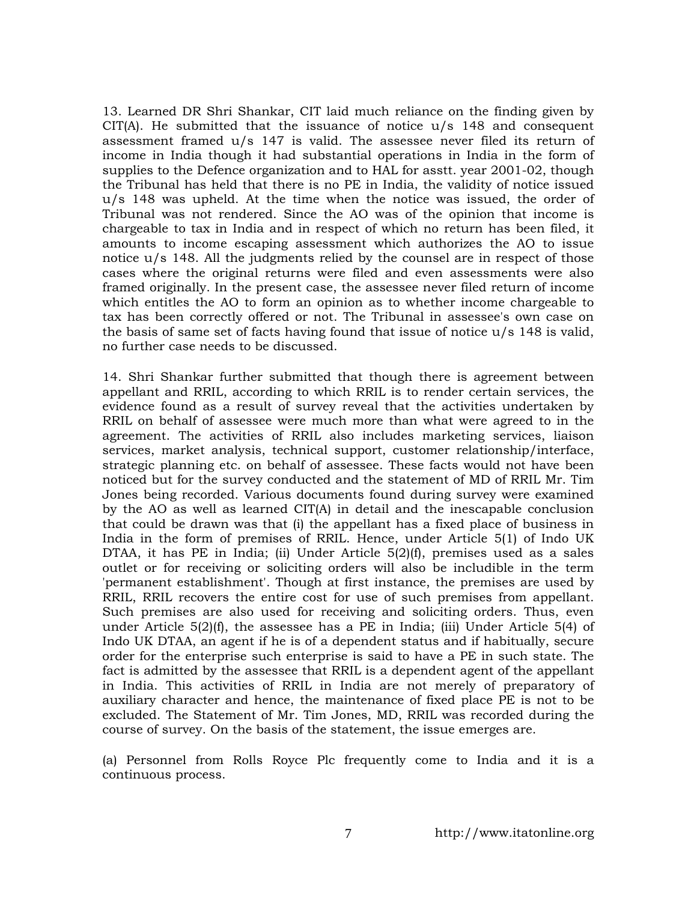13. Learned DR Shri Shankar, CIT laid much reliance on the finding given by  $CIT(A)$ . He submitted that the issuance of notice  $u/s$  148 and consequent assessment framed u/s 147 is valid. The assessee never filed its return of income in India though it had substantial operations in India in the form of supplies to the Defence organization and to HAL for asstt. year 2001-02, though the Tribunal has held that there is no PE in India, the validity of notice issued u/s 148 was upheld. At the time when the notice was issued, the order of Tribunal was not rendered. Since the AO was of the opinion that income is chargeable to tax in India and in respect of which no return has been filed, it amounts to income escaping assessment which authorizes the AO to issue notice  $u/s$  148. All the judgments relied by the counsel are in respect of those cases where the original returns were filed and even assessments were also framed originally. In the present case, the assessee never filed return of income which entitles the AO to form an opinion as to whether income chargeable to tax has been correctly offered or not. The Tribunal in assessee's own case on the basis of same set of facts having found that issue of notice u/s 148 is valid, no further case needs to be discussed.

14. Shri Shankar further submitted that though there is agreement between appellant and RRIL, according to which RRIL is to render certain services, the evidence found as a result of survey reveal that the activities undertaken by RRIL on behalf of assessee were much more than what were agreed to in the agreement. The activities of RRIL also includes marketing services, liaison services, market analysis, technical support, customer relationship/interface, strategic planning etc. on behalf of assessee. These facts would not have been noticed but for the survey conducted and the statement of MD of RRIL Mr. Tim Jones being recorded. Various documents found during survey were examined by the AO as well as learned CIT(A) in detail and the inescapable conclusion that could be drawn was that (i) the appellant has a fixed place of business in India in the form of premises of RRIL. Hence, under Article 5(1) of Indo UK DTAA, it has PE in India; (ii) Under Article  $5(2)(f)$ , premises used as a sales outlet or for receiving or soliciting orders will also be includible in the term 'permanent establishment'. Though at first instance, the premises are used by RRIL, RRIL recovers the entire cost for use of such premises from appellant. Such premises are also used for receiving and soliciting orders. Thus, even under Article  $5(2)(f)$ , the assessee has a PE in India; (iii) Under Article  $5(4)$  of Indo UK DTAA, an agent if he is of a dependent status and if habitually, secure order for the enterprise such enterprise is said to have a PE in such state. The fact is admitted by the assessee that RRIL is a dependent agent of the appellant in India. This activities of RRIL in India are not merely of preparatory of auxiliary character and hence, the maintenance of fixed place PE is not to be excluded. The Statement of Mr. Tim Jones, MD, RRIL was recorded during the course of survey. On the basis of the statement, the issue emerges are.

(a) Personnel from Rolls Royce Plc frequently come to India and it is a continuous process.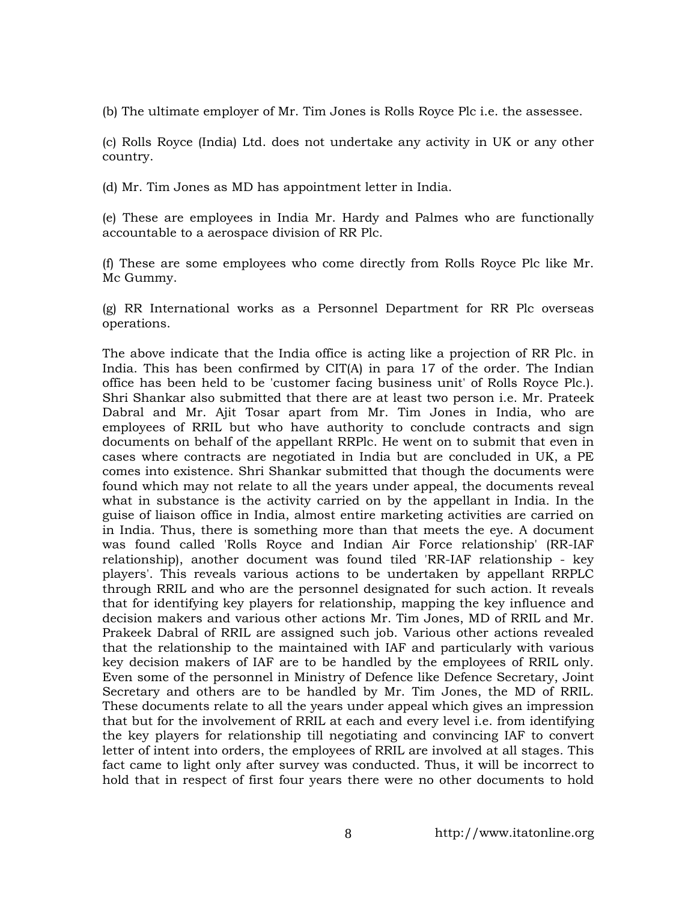(b) The ultimate employer of Mr. Tim Jones is Rolls Royce Plc i.e. the assessee.

(c) Rolls Royce (India) Ltd. does not undertake any activity in UK or any other country.

(d) Mr. Tim Jones as MD has appointment letter in India.

(e) These are employees in India Mr. Hardy and Palmes who are functionally accountable to a aerospace division of RR Plc.

(f) These are some employees who come directly from Rolls Royce Plc like Mr. Mc Gummy.

(g) RR International works as a Personnel Department for RR Plc overseas operations.

The above indicate that the India office is acting like a projection of RR Plc. in India. This has been confirmed by CIT(A) in para 17 of the order. The Indian office has been held to be 'customer facing business unit' of Rolls Royce Plc.). Shri Shankar also submitted that there are at least two person i.e. Mr. Prateek Dabral and Mr. Ajit Tosar apart from Mr. Tim Jones in India, who are employees of RRIL but who have authority to conclude contracts and sign documents on behalf of the appellant RRPlc. He went on to submit that even in cases where contracts are negotiated in India but are concluded in UK, a PE comes into existence. Shri Shankar submitted that though the documents were found which may not relate to all the years under appeal, the documents reveal what in substance is the activity carried on by the appellant in India. In the guise of liaison office in India, almost entire marketing activities are carried on in India. Thus, there is something more than that meets the eye. A document was found called 'Rolls Royce and Indian Air Force relationship' (RR-IAF relationship), another document was found tiled 'RR-IAF relationship - key players'. This reveals various actions to be undertaken by appellant RRPLC through RRIL and who are the personnel designated for such action. It reveals that for identifying key players for relationship, mapping the key influence and decision makers and various other actions Mr. Tim Jones, MD of RRIL and Mr. Prakeek Dabral of RRIL are assigned such job. Various other actions revealed that the relationship to the maintained with IAF and particularly with various key decision makers of IAF are to be handled by the employees of RRIL only. Even some of the personnel in Ministry of Defence like Defence Secretary, Joint Secretary and others are to be handled by Mr. Tim Jones, the MD of RRIL. These documents relate to all the years under appeal which gives an impression that but for the involvement of RRIL at each and every level i.e. from identifying the key players for relationship till negotiating and convincing IAF to convert letter of intent into orders, the employees of RRIL are involved at all stages. This fact came to light only after survey was conducted. Thus, it will be incorrect to hold that in respect of first four years there were no other documents to hold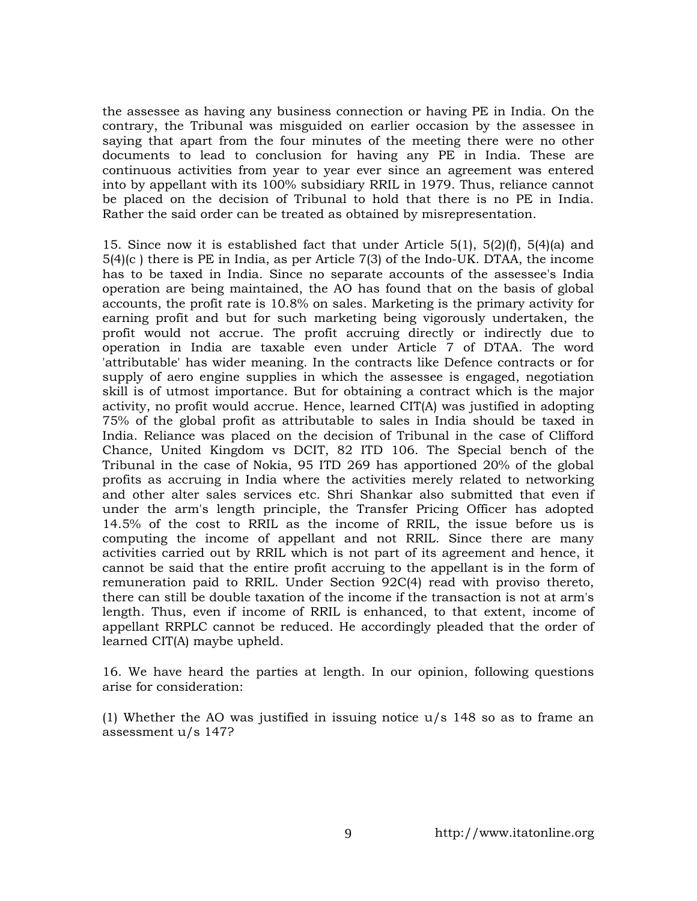the assessee as having any business connection or having PE in India. On the contrary, the Tribunal was misguided on earlier occasion by the assessee in saying that apart from the four minutes of the meeting there were no other documents to lead to conclusion for having any PE in India. These are continuous activities from year to year ever since an agreement was entered into by appellant with its 100% subsidiary RRIL in 1979. Thus, reliance cannot be placed on the decision of Tribunal to hold that there is no PE in India. Rather the said order can be treated as obtained by misrepresentation.

15. Since now it is established fact that under Article 5(1), 5(2)(f), 5(4)(a) and 5(4)(c ) there is PE in India, as per Article 7(3) of the Indo-UK. DTAA, the income has to be taxed in India. Since no separate accounts of the assessee's India operation are being maintained, the AO has found that on the basis of global accounts, the profit rate is 10.8% on sales. Marketing is the primary activity for earning profit and but for such marketing being vigorously undertaken, the profit would not accrue. The profit accruing directly or indirectly due to operation in India are taxable even under Article 7 of DTAA. The word 'attributable' has wider meaning. In the contracts like Defence contracts or for supply of aero engine supplies in which the assessee is engaged, negotiation skill is of utmost importance. But for obtaining a contract which is the major activity, no profit would accrue. Hence, learned CIT(A) was justified in adopting 75% of the global profit as attributable to sales in India should be taxed in India. Reliance was placed on the decision of Tribunal in the case of Clifford Chance, United Kingdom vs DCIT, 82 ITD 106. The Special bench of the Tribunal in the case of Nokia, 95 ITD 269 has apportioned 20% of the global profits as accruing in India where the activities merely related to networking and other alter sales services etc. Shri Shankar also submitted that even if under the arm's length principle, the Transfer Pricing Officer has adopted 14.5% of the cost to RRIL as the income of RRIL, the issue before us is computing the income of appellant and not RRIL. Since there are many activities carried out by RRIL which is not part of its agreement and hence, it cannot be said that the entire profit accruing to the appellant is in the form of remuneration paid to RRIL. Under Section 92C(4) read with proviso thereto, there can still be double taxation of the income if the transaction is not at arm's length. Thus, even if income of RRIL is enhanced, to that extent, income of appellant RRPLC cannot be reduced. He accordingly pleaded that the order of learned CIT(A) maybe upheld.

16. We have heard the parties at length. In our opinion, following questions arise for consideration:

(1) Whether the AO was justified in issuing notice u/s 148 so as to frame an assessment u/s 147?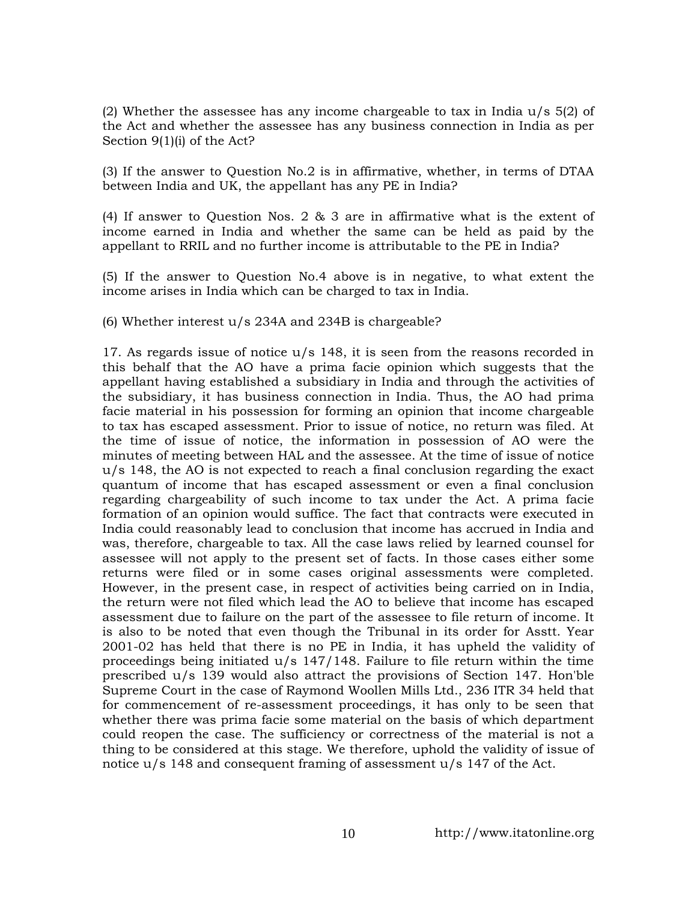(2) Whether the assessee has any income chargeable to tax in India  $u/s$  5(2) of the Act and whether the assessee has any business connection in India as per Section 9(1)(i) of the Act?

(3) If the answer to Question No.2 is in affirmative, whether, in terms of DTAA between India and UK, the appellant has any PE in India?

(4) If answer to Question Nos. 2 & 3 are in affirmative what is the extent of income earned in India and whether the same can be held as paid by the appellant to RRIL and no further income is attributable to the PE in India?

(5) If the answer to Question No.4 above is in negative, to what extent the income arises in India which can be charged to tax in India.

(6) Whether interest u/s 234A and 234B is chargeable?

17. As regards issue of notice u/s 148, it is seen from the reasons recorded in this behalf that the AO have a prima facie opinion which suggests that the appellant having established a subsidiary in India and through the activities of the subsidiary, it has business connection in India. Thus, the AO had prima facie material in his possession for forming an opinion that income chargeable to tax has escaped assessment. Prior to issue of notice, no return was filed. At the time of issue of notice, the information in possession of AO were the minutes of meeting between HAL and the assessee. At the time of issue of notice u/s 148, the AO is not expected to reach a final conclusion regarding the exact quantum of income that has escaped assessment or even a final conclusion regarding chargeability of such income to tax under the Act. A prima facie formation of an opinion would suffice. The fact that contracts were executed in India could reasonably lead to conclusion that income has accrued in India and was, therefore, chargeable to tax. All the case laws relied by learned counsel for assessee will not apply to the present set of facts. In those cases either some returns were filed or in some cases original assessments were completed. However, in the present case, in respect of activities being carried on in India, the return were not filed which lead the AO to believe that income has escaped assessment due to failure on the part of the assessee to file return of income. It is also to be noted that even though the Tribunal in its order for Asstt. Year 2001-02 has held that there is no PE in India, it has upheld the validity of proceedings being initiated  $u/s$  147/148. Failure to file return within the time prescribed u/s 139 would also attract the provisions of Section 147. Hon'ble Supreme Court in the case of Raymond Woollen Mills Ltd., 236 ITR 34 held that for commencement of re-assessment proceedings, it has only to be seen that whether there was prima facie some material on the basis of which department could reopen the case. The sufficiency or correctness of the material is not a thing to be considered at this stage. We therefore, uphold the validity of issue of notice u/s 148 and consequent framing of assessment u/s 147 of the Act.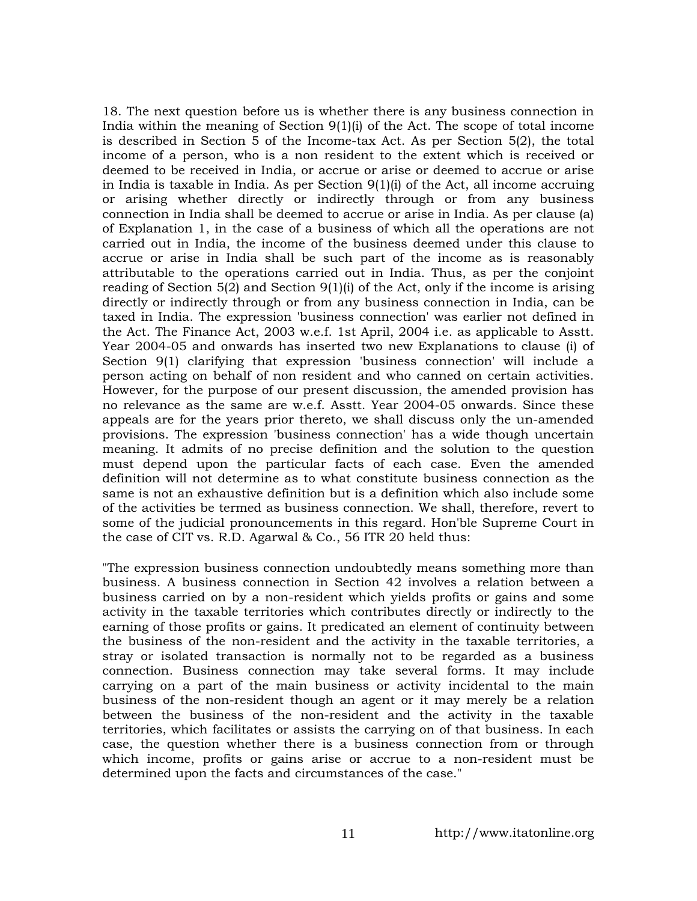18. The next question before us is whether there is any business connection in India within the meaning of Section  $9(1)(i)$  of the Act. The scope of total income is described in Section 5 of the Income-tax Act. As per Section 5(2), the total income of a person, who is a non resident to the extent which is received or deemed to be received in India, or accrue or arise or deemed to accrue or arise in India is taxable in India. As per Section 9(1)(i) of the Act, all income accruing or arising whether directly or indirectly through or from any business connection in India shall be deemed to accrue or arise in India. As per clause (a) of Explanation 1, in the case of a business of which all the operations are not carried out in India, the income of the business deemed under this clause to accrue or arise in India shall be such part of the income as is reasonably attributable to the operations carried out in India. Thus, as per the conjoint reading of Section  $5(2)$  and Section  $9(1)(i)$  of the Act, only if the income is arising directly or indirectly through or from any business connection in India, can be taxed in India. The expression 'business connection' was earlier not defined in the Act. The Finance Act, 2003 w.e.f. 1st April, 2004 i.e. as applicable to Asstt. Year 2004-05 and onwards has inserted two new Explanations to clause (i) of Section 9(1) clarifying that expression 'business connection' will include a person acting on behalf of non resident and who canned on certain activities. However, for the purpose of our present discussion, the amended provision has no relevance as the same are w.e.f. Asstt. Year 2004-05 onwards. Since these appeals are for the years prior thereto, we shall discuss only the un-amended provisions. The expression 'business connection' has a wide though uncertain meaning. It admits of no precise definition and the solution to the question must depend upon the particular facts of each case. Even the amended definition will not determine as to what constitute business connection as the same is not an exhaustive definition but is a definition which also include some of the activities be termed as business connection. We shall, therefore, revert to some of the judicial pronouncements in this regard. Hon'ble Supreme Court in the case of CIT vs. R.D. Agarwal & Co., 56 ITR 20 held thus:

"The expression business connection undoubtedly means something more than business. A business connection in Section 42 involves a relation between a business carried on by a non-resident which yields profits or gains and some activity in the taxable territories which contributes directly or indirectly to the earning of those profits or gains. It predicated an element of continuity between the business of the non-resident and the activity in the taxable territories, a stray or isolated transaction is normally not to be regarded as a business connection. Business connection may take several forms. It may include carrying on a part of the main business or activity incidental to the main business of the non-resident though an agent or it may merely be a relation between the business of the non-resident and the activity in the taxable territories, which facilitates or assists the carrying on of that business. In each case, the question whether there is a business connection from or through which income, profits or gains arise or accrue to a non-resident must be determined upon the facts and circumstances of the case."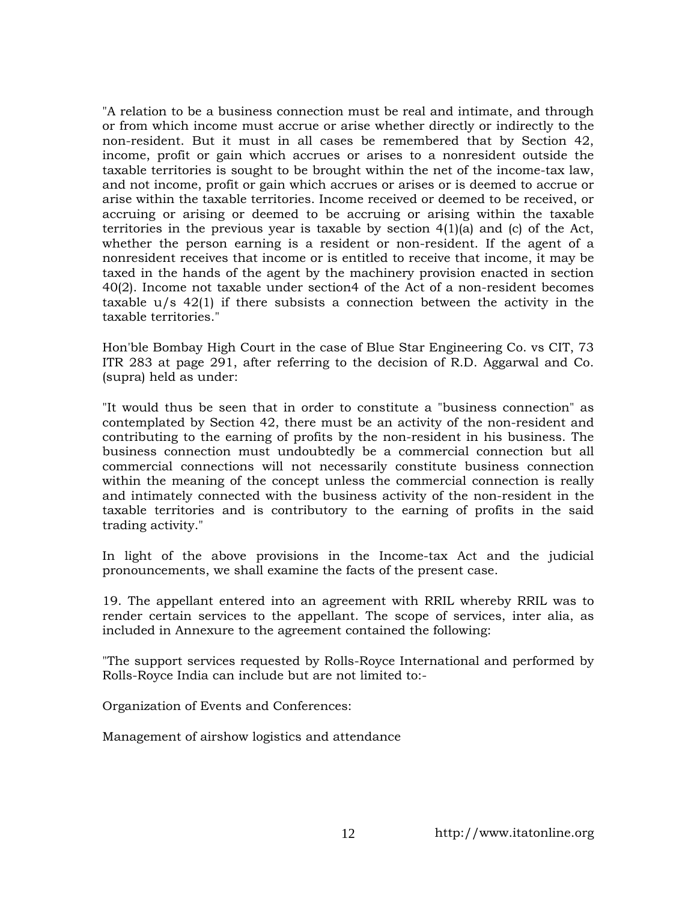"A relation to be a business connection must be real and intimate, and through or from which income must accrue or arise whether directly or indirectly to the non-resident. But it must in all cases be remembered that by Section 42, income, profit or gain which accrues or arises to a nonresident outside the taxable territories is sought to be brought within the net of the income-tax law, and not income, profit or gain which accrues or arises or is deemed to accrue or arise within the taxable territories. Income received or deemed to be received, or accruing or arising or deemed to be accruing or arising within the taxable territories in the previous year is taxable by section  $4(1)(a)$  and (c) of the Act, whether the person earning is a resident or non-resident. If the agent of a nonresident receives that income or is entitled to receive that income, it may be taxed in the hands of the agent by the machinery provision enacted in section 40(2). Income not taxable under section4 of the Act of a non-resident becomes taxable  $u/s$  42(1) if there subsists a connection between the activity in the taxable territories."

Hon'ble Bombay High Court in the case of Blue Star Engineering Co. vs CIT, 73 ITR 283 at page 291, after referring to the decision of R.D. Aggarwal and Co. (supra) held as under:

"It would thus be seen that in order to constitute a "business connection" as contemplated by Section 42, there must be an activity of the non-resident and contributing to the earning of profits by the non-resident in his business. The business connection must undoubtedly be a commercial connection but all commercial connections will not necessarily constitute business connection within the meaning of the concept unless the commercial connection is really and intimately connected with the business activity of the non-resident in the taxable territories and is contributory to the earning of profits in the said trading activity."

In light of the above provisions in the Income-tax Act and the judicial pronouncements, we shall examine the facts of the present case.

19. The appellant entered into an agreement with RRIL whereby RRIL was to render certain services to the appellant. The scope of services, inter alia, as included in Annexure to the agreement contained the following:

"The support services requested by Rolls-Royce International and performed by Rolls-Royce India can include but are not limited to:-

Organization of Events and Conferences:

Management of airshow logistics and attendance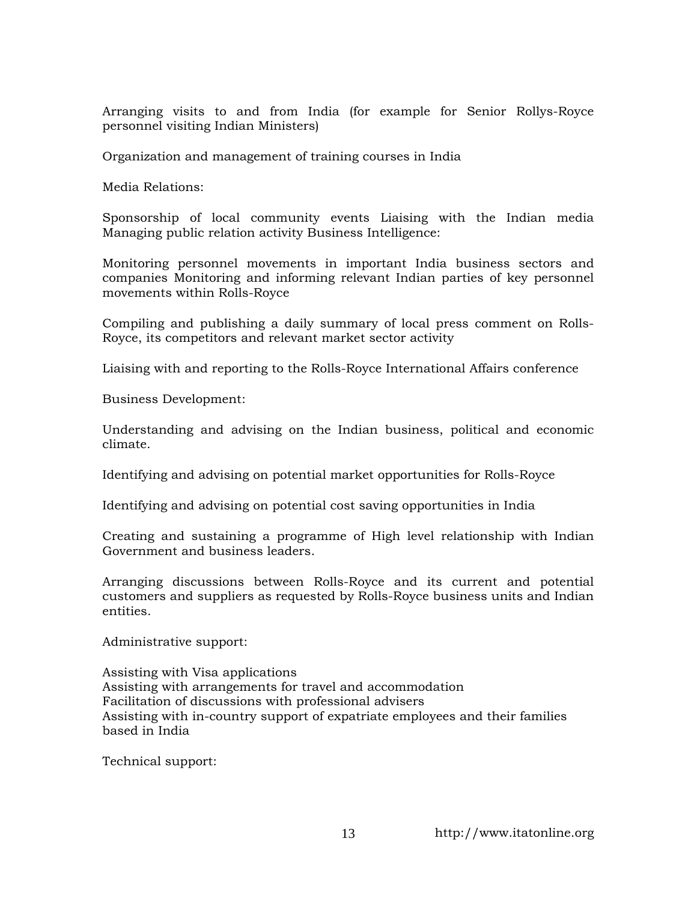Arranging visits to and from India (for example for Senior Rollys-Royce personnel visiting Indian Ministers)

Organization and management of training courses in India

Media Relations:

Sponsorship of local community events Liaising with the Indian media Managing public relation activity Business Intelligence:

Monitoring personnel movements in important India business sectors and companies Monitoring and informing relevant Indian parties of key personnel movements within Rolls-Royce

Compiling and publishing a daily summary of local press comment on Rolls-Royce, its competitors and relevant market sector activity

Liaising with and reporting to the Rolls-Royce International Affairs conference

Business Development:

Understanding and advising on the Indian business, political and economic climate.

Identifying and advising on potential market opportunities for Rolls-Royce

Identifying and advising on potential cost saving opportunities in India

Creating and sustaining a programme of High level relationship with Indian Government and business leaders.

Arranging discussions between Rolls-Royce and its current and potential customers and suppliers as requested by Rolls-Royce business units and Indian entities.

Administrative support:

Assisting with Visa applications Assisting with arrangements for travel and accommodation Facilitation of discussions with professional advisers Assisting with in-country support of expatriate employees and their families based in India

Technical support: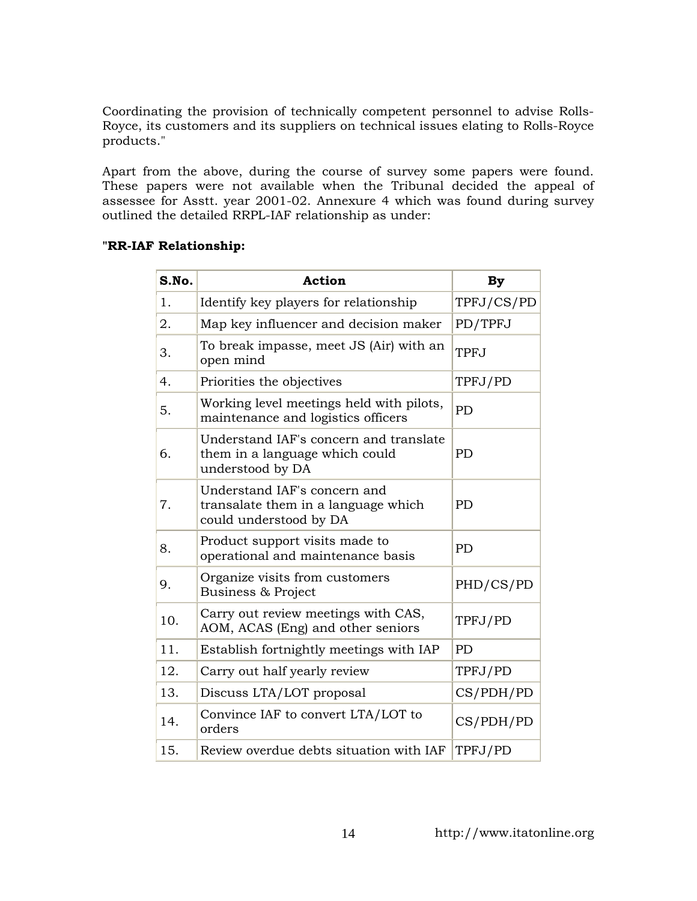Coordinating the provision of technically competent personnel to advise Rolls-Royce, its customers and its suppliers on technical issues elating to Rolls-Royce products."

Apart from the above, during the course of survey some papers were found. These papers were not available when the Tribunal decided the appeal of assessee for Asstt. year 2001-02. Annexure 4 which was found during survey outlined the detailed RRPL-IAF relationship as under:

### **"RR-IAF Relationship:**

| S.No. | <b>Action</b>                                                                                 | <b>By</b>   |
|-------|-----------------------------------------------------------------------------------------------|-------------|
| 1.    | Identify key players for relationship                                                         | TPFJ/CS/PD  |
| 2.    | Map key influencer and decision maker                                                         | PD/TPFJ     |
| 3.    | To break impasse, meet JS (Air) with an<br>open mind                                          | <b>TPFJ</b> |
| 4.    | Priorities the objectives                                                                     | TPFJ/PD     |
| 5.    | Working level meetings held with pilots,<br>maintenance and logistics officers                | <b>PD</b>   |
| 6.    | Understand IAF's concern and translate<br>them in a language which could<br>understood by DA  | <b>PD</b>   |
| 7.    | Understand IAF's concern and<br>transalate them in a language which<br>could understood by DA | <b>PD</b>   |
| 8.    | Product support visits made to<br>operational and maintenance basis                           | PD          |
| 9.    | Organize visits from customers<br><b>Business &amp; Project</b>                               | PHD/CS/PD   |
| 10.   | Carry out review meetings with CAS,<br>AOM, ACAS (Eng) and other seniors                      | TPFJ/PD     |
| 11.   | Establish fortnightly meetings with IAP                                                       | <b>PD</b>   |
| 12.   | Carry out half yearly review                                                                  | TPFJ/PD     |
| 13.   | Discuss LTA/LOT proposal                                                                      | CS/PDH/PD   |
| 14.   | Convince IAF to convert LTA/LOT to<br>orders                                                  | CS/PDH/PD   |
| 15.   | Review overdue debts situation with IAF                                                       | TPFJ/PD     |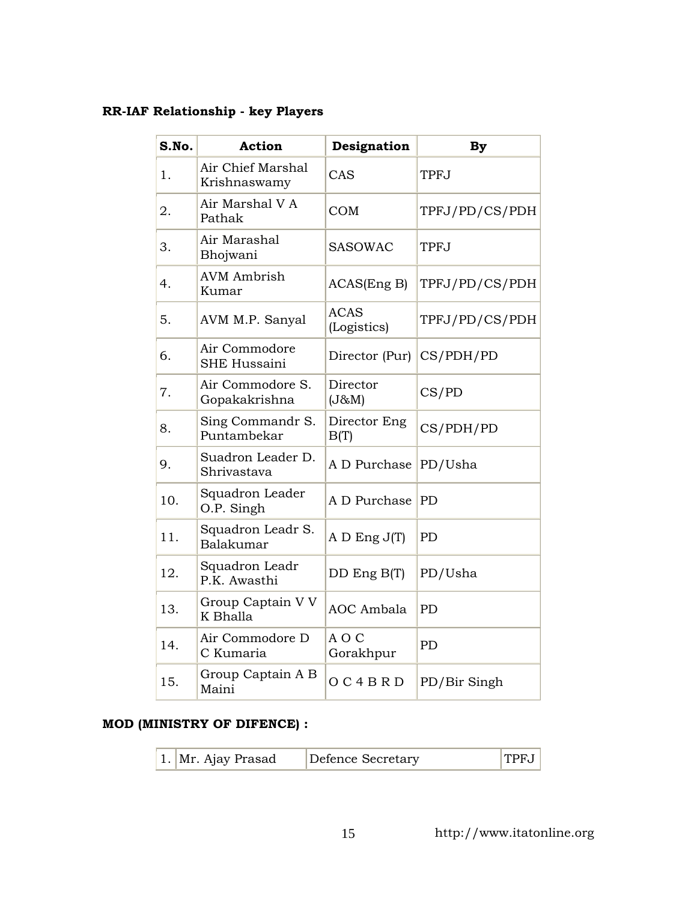# **RR-IAF Relationship - key Players**

| S.No. | <b>Action</b>                        | Designation                | <b>By</b>      |
|-------|--------------------------------------|----------------------------|----------------|
| 1.    | Air Chief Marshal<br>Krishnaswamy    | CAS                        | <b>TPFJ</b>    |
| 2.    | Air Marshal V A<br>Pathak            | <b>COM</b>                 | TPFJ/PD/CS/PDH |
| 3.    | Air Marashal<br>Bhojwani             | <b>SASOWAC</b>             | <b>TPFJ</b>    |
| 4.    | <b>AVM</b> Ambrish<br>Kumar          | ACAS(Eng B)                | TPFJ/PD/CS/PDH |
| 5.    | AVM M.P. Sanyal                      | <b>ACAS</b><br>(Logistics) | TPFJ/PD/CS/PDH |
| 6.    | Air Commodore<br><b>SHE Hussaini</b> | Director (Pur)             | CS/PDH/PD      |
| 7.    | Air Commodore S.<br>Gopakakrishna    | Director<br>(J&M)          | CS/PD          |
| 8.    | Sing Commandr S.<br>Puntambekar      | Director Eng<br>B(T)       | CS/PDH/PD      |
| 9.    | Suadron Leader D.<br>Shrivastava     | A D Purchase               | PD/Usha        |
| 10.   | Squadron Leader<br>O.P. Singh        | A D Purchase               | PD             |
| 11.   | Squadron Leadr S.<br>Balakumar       | $A D$ Eng $J(T)$           | PD             |
| 12.   | Squadron Leadr<br>P.K. Awasthi       | DD Eng B(T)                | PD/Usha        |
| 13.   | Group Captain V V<br>K Bhalla        | <b>AOC</b> Ambala          | PD             |
| 14.   | Air Commodore D<br>C Kumaria         | AOC<br>Gorakhpur           | <b>PD</b>      |
| 15.   | Group Captain A B<br>Maini           | O C 4 B R D                | PD/Bir Singh   |

## **MOD (MINISTRY OF DIFENCE) :**

| 1. Mr. Ajay Prasad | Defence Secretary | TPFJ |
|--------------------|-------------------|------|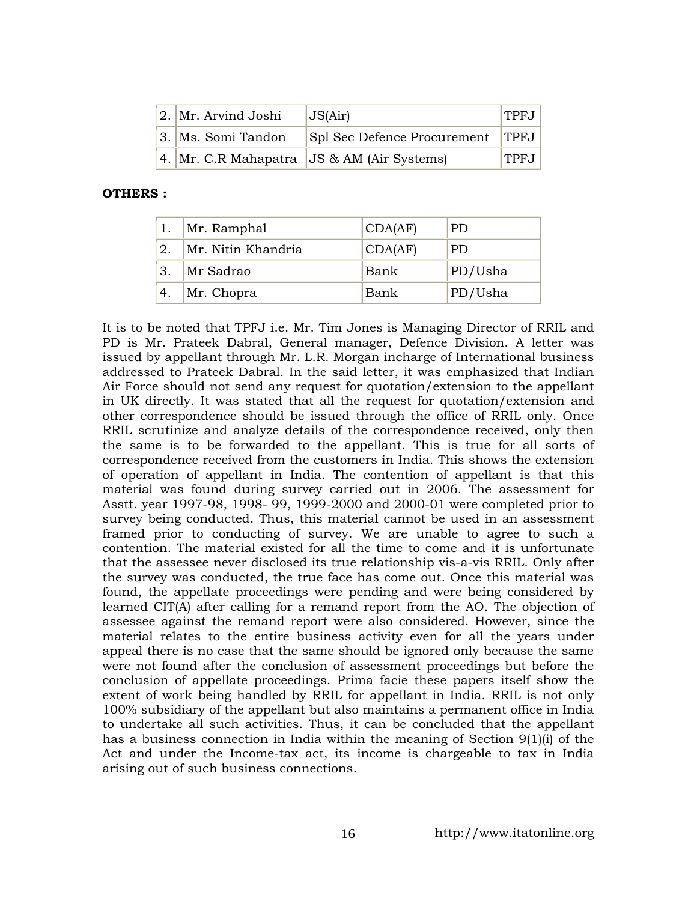| $ 2. $ Mr. Arvind Joshi | JS(Air)                                            | TPF.J |
|-------------------------|----------------------------------------------------|-------|
| 3.   Ms. Somi Tandon    | Spl Sec Defence Procurement   TPFJ                 |       |
|                         | $ 4. $ Mr. C.R Mahapatra $ JS \& AM$ (Air Systems) | TPFJ  |

### **OTHERS :**

|      | Mr. Ramphal        | CDA(AF) | PD.     |
|------|--------------------|---------|---------|
| 2.   | Mr. Nitin Khandria | CDA(AF) | PD.     |
| 3.   | Mr Sadrao          | Bank    | PD/Usha |
| ้ 4. | $Mr.$ Chopra       | Bank    | PD/Usha |

It is to be noted that TPFJ i.e. Mr. Tim Jones is Managing Director of RRIL and PD is Mr. Prateek Dabral, General manager, Defence Division. A letter was issued by appellant through Mr. L.R. Morgan incharge of International business addressed to Prateek Dabral. In the said letter, it was emphasized that Indian Air Force should not send any request for quotation/extension to the appellant in UK directly. It was stated that all the request for quotation/extension and other correspondence should be issued through the office of RRIL only. Once RRIL scrutinize and analyze details of the correspondence received, only then the same is to be forwarded to the appellant. This is true for all sorts of correspondence received from the customers in India. This shows the extension of operation of appellant in India. The contention of appellant is that this material was found during survey carried out in 2006. The assessment for Asstt. year 1997-98, 1998- 99, 1999-2000 and 2000-01 were completed prior to survey being conducted. Thus, this material cannot be used in an assessment framed prior to conducting of survey. We are unable to agree to such a contention. The material existed for all the time to come and it is unfortunate that the assessee never disclosed its true relationship vis-a-vis RRIL. Only after the survey was conducted, the true face has come out. Once this material was found, the appellate proceedings were pending and were being considered by learned CIT(A) after calling for a remand report from the AO. The objection of assessee against the remand report were also considered. However, since the material relates to the entire business activity even for all the years under appeal there is no case that the same should be ignored only because the same were not found after the conclusion of assessment proceedings but before the conclusion of appellate proceedings. Prima facie these papers itself show the extent of work being handled by RRIL for appellant in India. RRIL is not only 100% subsidiary of the appellant but also maintains a permanent office in India to undertake all such activities. Thus, it can be concluded that the appellant has a business connection in India within the meaning of Section 9(1)(i) of the Act and under the Income-tax act, its income is chargeable to tax in India arising out of such business connections.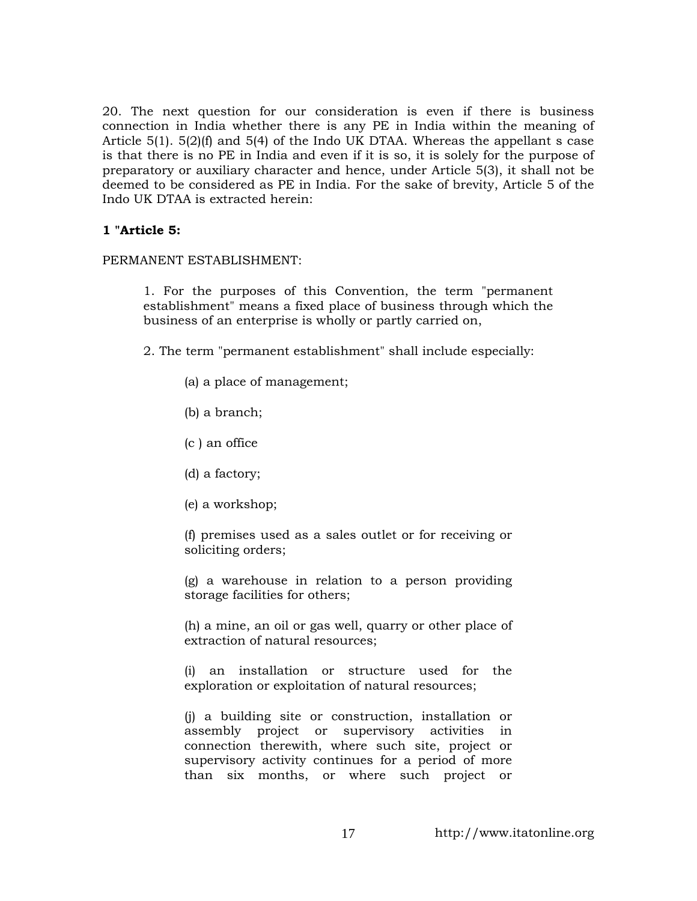20. The next question for our consideration is even if there is business connection in India whether there is any PE in India within the meaning of Article 5(1). 5(2)(f) and 5(4) of the Indo UK DTAA. Whereas the appellant s case is that there is no PE in India and even if it is so, it is solely for the purpose of preparatory or auxiliary character and hence, under Article 5(3), it shall not be deemed to be considered as PE in India. For the sake of brevity, Article 5 of the Indo UK DTAA is extracted herein:

### **1 "Article 5:**

PERMANENT ESTABLISHMENT:

1. For the purposes of this Convention, the term "permanent establishment" means a fixed place of business through which the business of an enterprise is wholly or partly carried on,

- 2. The term "permanent establishment" shall include especially:
	- (a) a place of management;
	- (b) a branch;
	- (c ) an office
	- (d) a factory;
	- (e) a workshop;

(f) premises used as a sales outlet or for receiving or soliciting orders;

(g) a warehouse in relation to a person providing storage facilities for others;

(h) a mine, an oil or gas well, quarry or other place of extraction of natural resources;

(i) an installation or structure used for the exploration or exploitation of natural resources;

(j) a building site or construction, installation or assembly project or supervisory activities in connection therewith, where such site, project or supervisory activity continues for a period of more than six months, or where such project or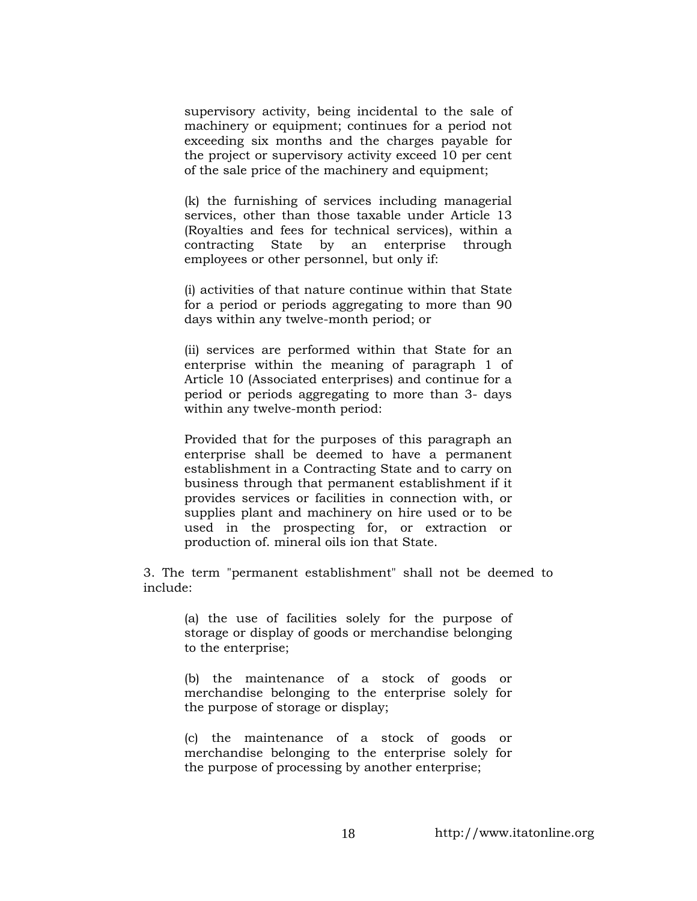supervisory activity, being incidental to the sale of machinery or equipment; continues for a period not exceeding six months and the charges payable for the project or supervisory activity exceed 10 per cent of the sale price of the machinery and equipment;

(k) the furnishing of services including managerial services, other than those taxable under Article 13 (Royalties and fees for technical services), within a contracting State by an enterprise through employees or other personnel, but only if:

(i) activities of that nature continue within that State for a period or periods aggregating to more than 90 days within any twelve-month period; or

(ii) services are performed within that State for an enterprise within the meaning of paragraph 1 of Article 10 (Associated enterprises) and continue for a period or periods aggregating to more than 3- days within any twelve-month period:

Provided that for the purposes of this paragraph an enterprise shall be deemed to have a permanent establishment in a Contracting State and to carry on business through that permanent establishment if it provides services or facilities in connection with, or supplies plant and machinery on hire used or to be used in the prospecting for, or extraction or production of. mineral oils ion that State.

3. The term "permanent establishment" shall not be deemed to include:

> (a) the use of facilities solely for the purpose of storage or display of goods or merchandise belonging to the enterprise;

> (b) the maintenance of a stock of goods or merchandise belonging to the enterprise solely for the purpose of storage or display;

> (c) the maintenance of a stock of goods or merchandise belonging to the enterprise solely for the purpose of processing by another enterprise;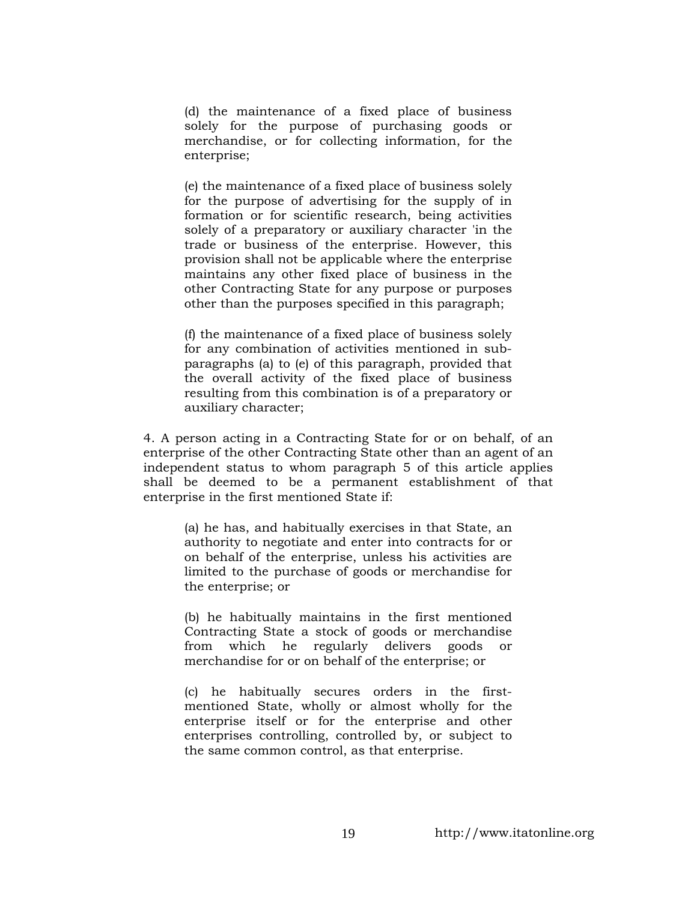(d) the maintenance of a fixed place of business solely for the purpose of purchasing goods or merchandise, or for collecting information, for the enterprise;

(e) the maintenance of a fixed place of business solely for the purpose of advertising for the supply of in formation or for scientific research, being activities solely of a preparatory or auxiliary character 'in the trade or business of the enterprise. However, this provision shall not be applicable where the enterprise maintains any other fixed place of business in the other Contracting State for any purpose or purposes other than the purposes specified in this paragraph;

(f) the maintenance of a fixed place of business solely for any combination of activities mentioned in subparagraphs (a) to (e) of this paragraph, provided that the overall activity of the fixed place of business resulting from this combination is of a preparatory or auxiliary character;

4. A person acting in a Contracting State for or on behalf, of an enterprise of the other Contracting State other than an agent of an independent status to whom paragraph 5 of this article applies shall be deemed to be a permanent establishment of that enterprise in the first mentioned State if:

> (a) he has, and habitually exercises in that State, an authority to negotiate and enter into contracts for or on behalf of the enterprise, unless his activities are limited to the purchase of goods or merchandise for the enterprise; or

> (b) he habitually maintains in the first mentioned Contracting State a stock of goods or merchandise from which he regularly delivers goods or merchandise for or on behalf of the enterprise; or

> (c) he habitually secures orders in the firstmentioned State, wholly or almost wholly for the enterprise itself or for the enterprise and other enterprises controlling, controlled by, or subject to the same common control, as that enterprise.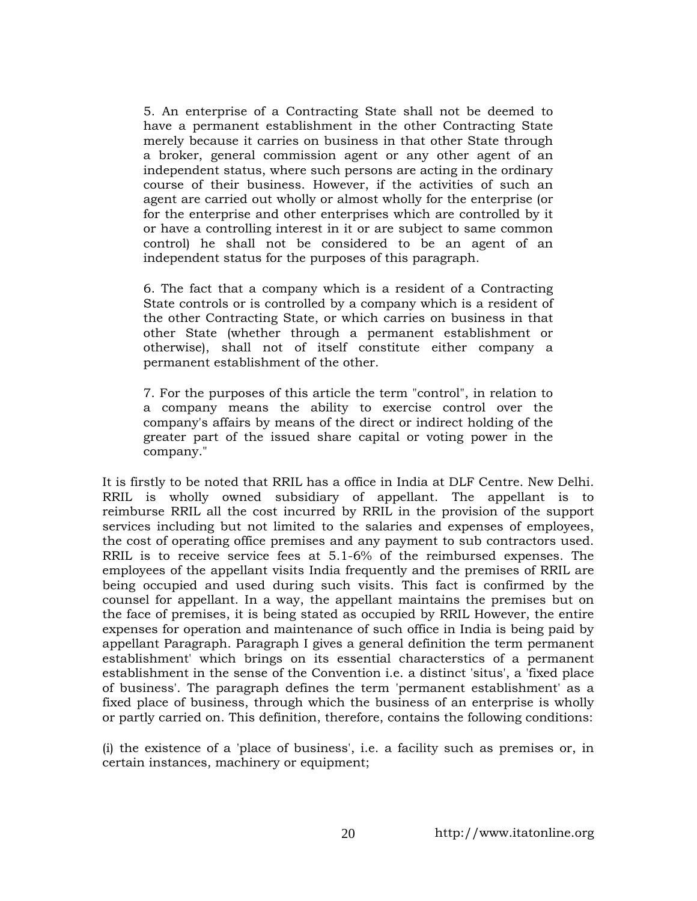5. An enterprise of a Contracting State shall not be deemed to have a permanent establishment in the other Contracting State merely because it carries on business in that other State through a broker, general commission agent or any other agent of an independent status, where such persons are acting in the ordinary course of their business. However, if the activities of such an agent are carried out wholly or almost wholly for the enterprise (or for the enterprise and other enterprises which are controlled by it or have a controlling interest in it or are subject to same common control) he shall not be considered to be an agent of an independent status for the purposes of this paragraph.

6. The fact that a company which is a resident of a Contracting State controls or is controlled by a company which is a resident of the other Contracting State, or which carries on business in that other State (whether through a permanent establishment or otherwise), shall not of itself constitute either company a permanent establishment of the other.

7. For the purposes of this article the term "control", in relation to a company means the ability to exercise control over the company's affairs by means of the direct or indirect holding of the greater part of the issued share capital or voting power in the company."

It is firstly to be noted that RRIL has a office in India at DLF Centre. New Delhi. RRIL is wholly owned subsidiary of appellant. The appellant is to reimburse RRIL all the cost incurred by RRIL in the provision of the support services including but not limited to the salaries and expenses of employees, the cost of operating office premises and any payment to sub contractors used. RRIL is to receive service fees at 5.1-6% of the reimbursed expenses. The employees of the appellant visits India frequently and the premises of RRIL are being occupied and used during such visits. This fact is confirmed by the counsel for appellant. In a way, the appellant maintains the premises but on the face of premises, it is being stated as occupied by RRIL However, the entire expenses for operation and maintenance of such office in India is being paid by appellant Paragraph. Paragraph I gives a general definition the term permanent establishment' which brings on its essential characterstics of a permanent establishment in the sense of the Convention i.e. a distinct 'situs', a 'fixed place of business'. The paragraph defines the term 'permanent establishment' as a fixed place of business, through which the business of an enterprise is wholly or partly carried on. This definition, therefore, contains the following conditions:

(i) the existence of a 'place of business', i.e. a facility such as premises or, in certain instances, machinery or equipment;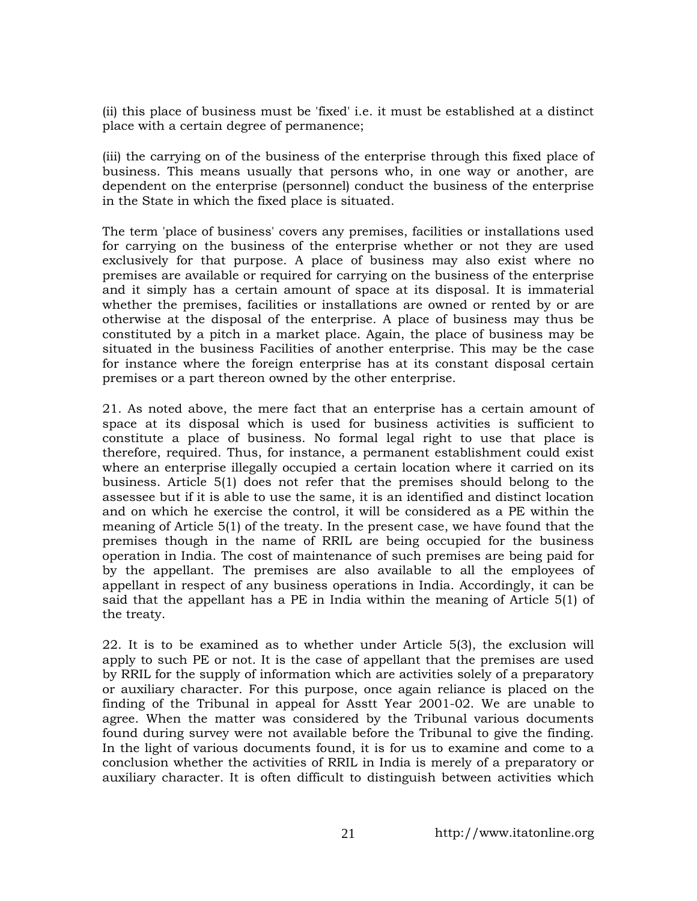(ii) this place of business must be 'fixed' i.e. it must be established at a distinct place with a certain degree of permanence;

(iii) the carrying on of the business of the enterprise through this fixed place of business. This means usually that persons who, in one way or another, are dependent on the enterprise (personnel) conduct the business of the enterprise in the State in which the fixed place is situated.

The term 'place of business' covers any premises, facilities or installations used for carrying on the business of the enterprise whether or not they are used exclusively for that purpose. A place of business may also exist where no premises are available or required for carrying on the business of the enterprise and it simply has a certain amount of space at its disposal. It is immaterial whether the premises, facilities or installations are owned or rented by or are otherwise at the disposal of the enterprise. A place of business may thus be constituted by a pitch in a market place. Again, the place of business may be situated in the business Facilities of another enterprise. This may be the case for instance where the foreign enterprise has at its constant disposal certain premises or a part thereon owned by the other enterprise.

21. As noted above, the mere fact that an enterprise has a certain amount of space at its disposal which is used for business activities is sufficient to constitute a place of business. No formal legal right to use that place is therefore, required. Thus, for instance, a permanent establishment could exist where an enterprise illegally occupied a certain location where it carried on its business. Article 5(1) does not refer that the premises should belong to the assessee but if it is able to use the same, it is an identified and distinct location and on which he exercise the control, it will be considered as a PE within the meaning of Article 5(1) of the treaty. In the present case, we have found that the premises though in the name of RRIL are being occupied for the business operation in India. The cost of maintenance of such premises are being paid for by the appellant. The premises are also available to all the employees of appellant in respect of any business operations in India. Accordingly, it can be said that the appellant has a PE in India within the meaning of Article 5(1) of the treaty.

22. It is to be examined as to whether under Article 5(3), the exclusion will apply to such PE or not. It is the case of appellant that the premises are used by RRIL for the supply of information which are activities solely of a preparatory or auxiliary character. For this purpose, once again reliance is placed on the finding of the Tribunal in appeal for Asstt Year 2001-02. We are unable to agree. When the matter was considered by the Tribunal various documents found during survey were not available before the Tribunal to give the finding. In the light of various documents found, it is for us to examine and come to a conclusion whether the activities of RRIL in India is merely of a preparatory or auxiliary character. It is often difficult to distinguish between activities which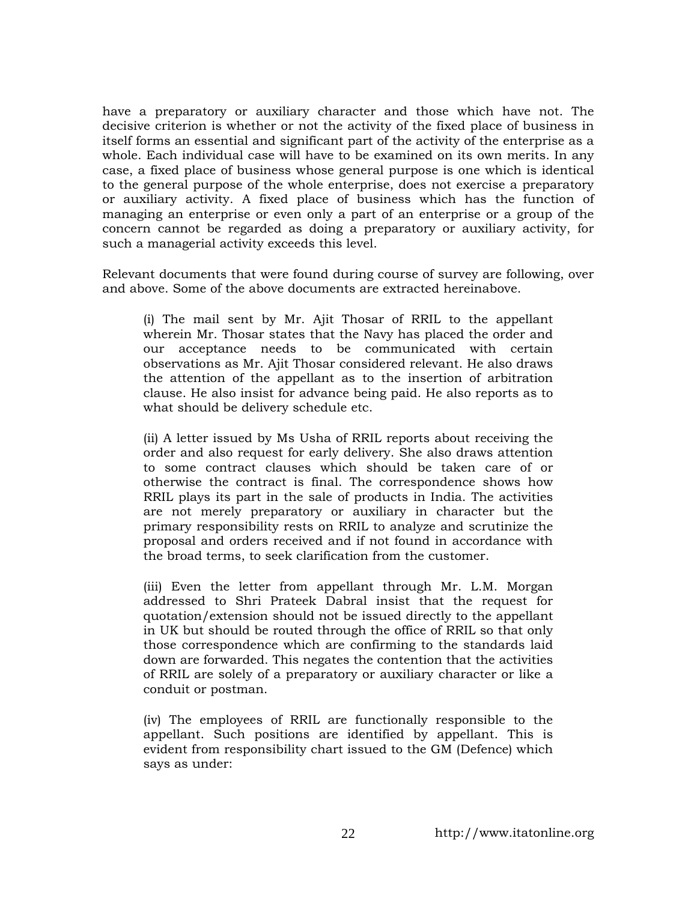have a preparatory or auxiliary character and those which have not. The decisive criterion is whether or not the activity of the fixed place of business in itself forms an essential and significant part of the activity of the enterprise as a whole. Each individual case will have to be examined on its own merits. In any case, a fixed place of business whose general purpose is one which is identical to the general purpose of the whole enterprise, does not exercise a preparatory or auxiliary activity. A fixed place of business which has the function of managing an enterprise or even only a part of an enterprise or a group of the concern cannot be regarded as doing a preparatory or auxiliary activity, for such a managerial activity exceeds this level.

Relevant documents that were found during course of survey are following, over and above. Some of the above documents are extracted hereinabove.

(i) The mail sent by Mr. Ajit Thosar of RRIL to the appellant wherein Mr. Thosar states that the Navy has placed the order and our acceptance needs to be communicated with certain observations as Mr. Ajit Thosar considered relevant. He also draws the attention of the appellant as to the insertion of arbitration clause. He also insist for advance being paid. He also reports as to what should be delivery schedule etc.

(ii) A letter issued by Ms Usha of RRIL reports about receiving the order and also request for early delivery. She also draws attention to some contract clauses which should be taken care of or otherwise the contract is final. The correspondence shows how RRIL plays its part in the sale of products in India. The activities are not merely preparatory or auxiliary in character but the primary responsibility rests on RRIL to analyze and scrutinize the proposal and orders received and if not found in accordance with the broad terms, to seek clarification from the customer.

(iii) Even the letter from appellant through Mr. L.M. Morgan addressed to Shri Prateek Dabral insist that the request for quotation/extension should not be issued directly to the appellant in UK but should be routed through the office of RRIL so that only those correspondence which are confirming to the standards laid down are forwarded. This negates the contention that the activities of RRIL are solely of a preparatory or auxiliary character or like a conduit or postman.

(iv) The employees of RRIL are functionally responsible to the appellant. Such positions are identified by appellant. This is evident from responsibility chart issued to the GM (Defence) which says as under: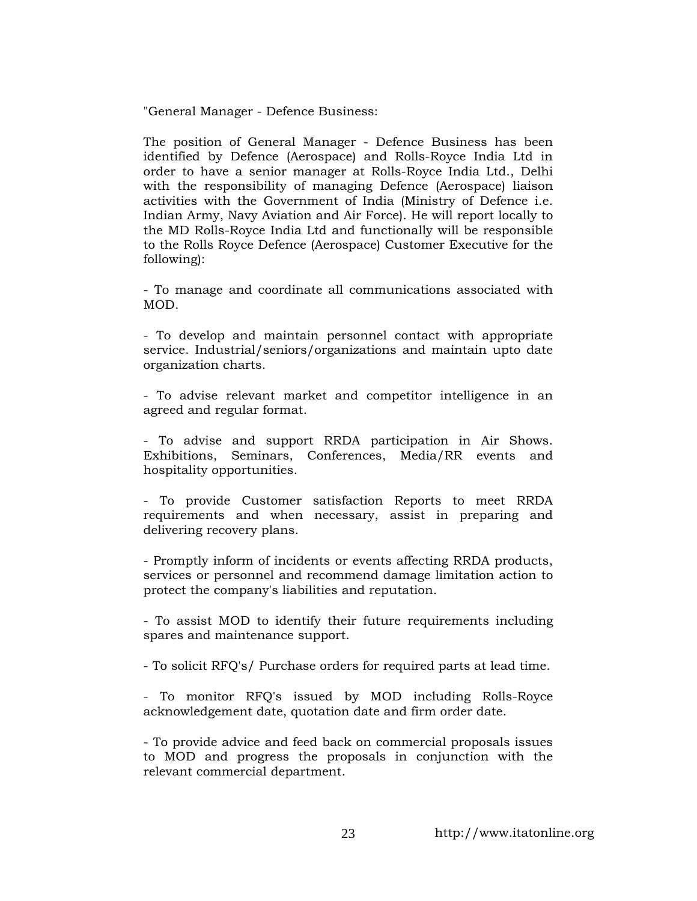"General Manager - Defence Business:

The position of General Manager - Defence Business has been identified by Defence (Aerospace) and Rolls-Royce India Ltd in order to have a senior manager at Rolls-Royce India Ltd., Delhi with the responsibility of managing Defence (Aerospace) liaison activities with the Government of India (Ministry of Defence i.e. Indian Army, Navy Aviation and Air Force). He will report locally to the MD Rolls-Royce India Ltd and functionally will be responsible to the Rolls Royce Defence (Aerospace) Customer Executive for the following):

- To manage and coordinate all communications associated with MOD.

- To develop and maintain personnel contact with appropriate service. Industrial/seniors/organizations and maintain upto date organization charts.

- To advise relevant market and competitor intelligence in an agreed and regular format.

- To advise and support RRDA participation in Air Shows. Exhibitions, Seminars, Conferences, Media/RR events and hospitality opportunities.

- To provide Customer satisfaction Reports to meet RRDA requirements and when necessary, assist in preparing and delivering recovery plans.

- Promptly inform of incidents or events affecting RRDA products, services or personnel and recommend damage limitation action to protect the company's liabilities and reputation.

- To assist MOD to identify their future requirements including spares and maintenance support.

- To solicit RFQ's/ Purchase orders for required parts at lead time.

- To monitor RFQ's issued by MOD including Rolls-Royce acknowledgement date, quotation date and firm order date.

- To provide advice and feed back on commercial proposals issues to MOD and progress the proposals in conjunction with the relevant commercial department.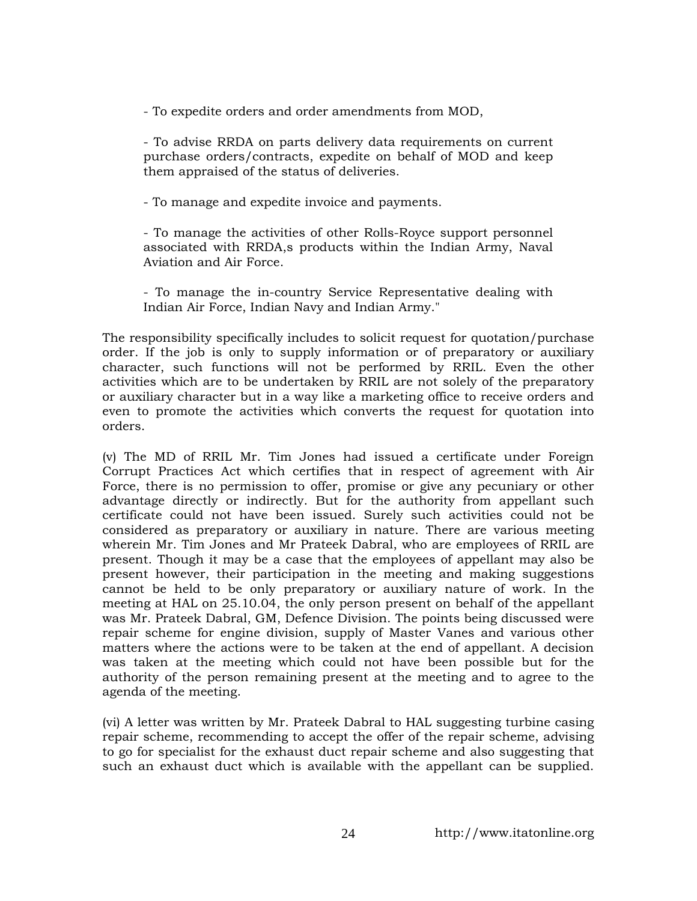- To expedite orders and order amendments from MOD,

- To advise RRDA on parts delivery data requirements on current purchase orders/contracts, expedite on behalf of MOD and keep them appraised of the status of deliveries.

- To manage and expedite invoice and payments.

- To manage the activities of other Rolls-Royce support personnel associated with RRDA,s products within the Indian Army, Naval Aviation and Air Force.

- To manage the in-country Service Representative dealing with Indian Air Force, Indian Navy and Indian Army."

The responsibility specifically includes to solicit request for quotation/purchase order. If the job is only to supply information or of preparatory or auxiliary character, such functions will not be performed by RRIL. Even the other activities which are to be undertaken by RRIL are not solely of the preparatory or auxiliary character but in a way like a marketing office to receive orders and even to promote the activities which converts the request for quotation into orders.

(v) The MD of RRIL Mr. Tim Jones had issued a certificate under Foreign Corrupt Practices Act which certifies that in respect of agreement with Air Force, there is no permission to offer, promise or give any pecuniary or other advantage directly or indirectly. But for the authority from appellant such certificate could not have been issued. Surely such activities could not be considered as preparatory or auxiliary in nature. There are various meeting wherein Mr. Tim Jones and Mr Prateek Dabral, who are employees of RRIL are present. Though it may be a case that the employees of appellant may also be present however, their participation in the meeting and making suggestions cannot be held to be only preparatory or auxiliary nature of work. In the meeting at HAL on 25.10.04, the only person present on behalf of the appellant was Mr. Prateek Dabral, GM, Defence Division. The points being discussed were repair scheme for engine division, supply of Master Vanes and various other matters where the actions were to be taken at the end of appellant. A decision was taken at the meeting which could not have been possible but for the authority of the person remaining present at the meeting and to agree to the agenda of the meeting.

(vi) A letter was written by Mr. Prateek Dabral to HAL suggesting turbine casing repair scheme, recommending to accept the offer of the repair scheme, advising to go for specialist for the exhaust duct repair scheme and also suggesting that such an exhaust duct which is available with the appellant can be supplied.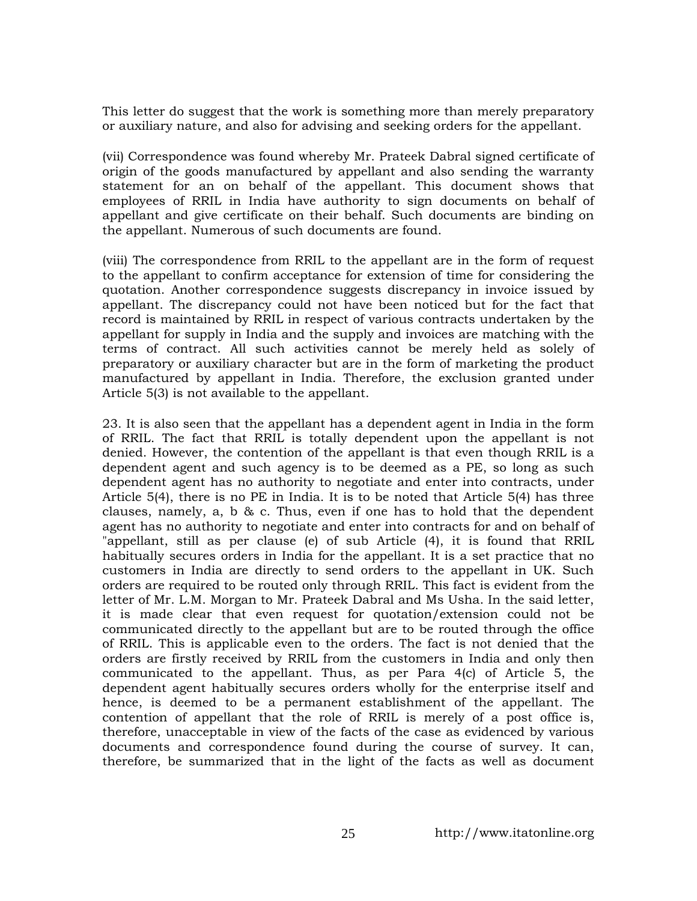This letter do suggest that the work is something more than merely preparatory or auxiliary nature, and also for advising and seeking orders for the appellant.

(vii) Correspondence was found whereby Mr. Prateek Dabral signed certificate of origin of the goods manufactured by appellant and also sending the warranty statement for an on behalf of the appellant. This document shows that employees of RRIL in India have authority to sign documents on behalf of appellant and give certificate on their behalf. Such documents are binding on the appellant. Numerous of such documents are found.

(viii) The correspondence from RRIL to the appellant are in the form of request to the appellant to confirm acceptance for extension of time for considering the quotation. Another correspondence suggests discrepancy in invoice issued by appellant. The discrepancy could not have been noticed but for the fact that record is maintained by RRIL in respect of various contracts undertaken by the appellant for supply in India and the supply and invoices are matching with the terms of contract. All such activities cannot be merely held as solely of preparatory or auxiliary character but are in the form of marketing the product manufactured by appellant in India. Therefore, the exclusion granted under Article 5(3) is not available to the appellant.

23. It is also seen that the appellant has a dependent agent in India in the form of RRIL. The fact that RRIL is totally dependent upon the appellant is not denied. However, the contention of the appellant is that even though RRIL is a dependent agent and such agency is to be deemed as a PE, so long as such dependent agent has no authority to negotiate and enter into contracts, under Article 5(4), there is no PE in India. It is to be noted that Article 5(4) has three clauses, namely, a, b & c. Thus, even if one has to hold that the dependent agent has no authority to negotiate and enter into contracts for and on behalf of "appellant, still as per clause (e) of sub Article (4), it is found that RRIL habitually secures orders in India for the appellant. It is a set practice that no customers in India are directly to send orders to the appellant in UK. Such orders are required to be routed only through RRIL. This fact is evident from the letter of Mr. L.M. Morgan to Mr. Prateek Dabral and Ms Usha. In the said letter, it is made clear that even request for quotation/extension could not be communicated directly to the appellant but are to be routed through the office of RRIL. This is applicable even to the orders. The fact is not denied that the orders are firstly received by RRIL from the customers in India and only then communicated to the appellant. Thus, as per Para  $4(c)$  of Article 5, the dependent agent habitually secures orders wholly for the enterprise itself and hence, is deemed to be a permanent establishment of the appellant. The contention of appellant that the role of RRIL is merely of a post office is, therefore, unacceptable in view of the facts of the case as evidenced by various documents and correspondence found during the course of survey. It can, therefore, be summarized that in the light of the facts as well as document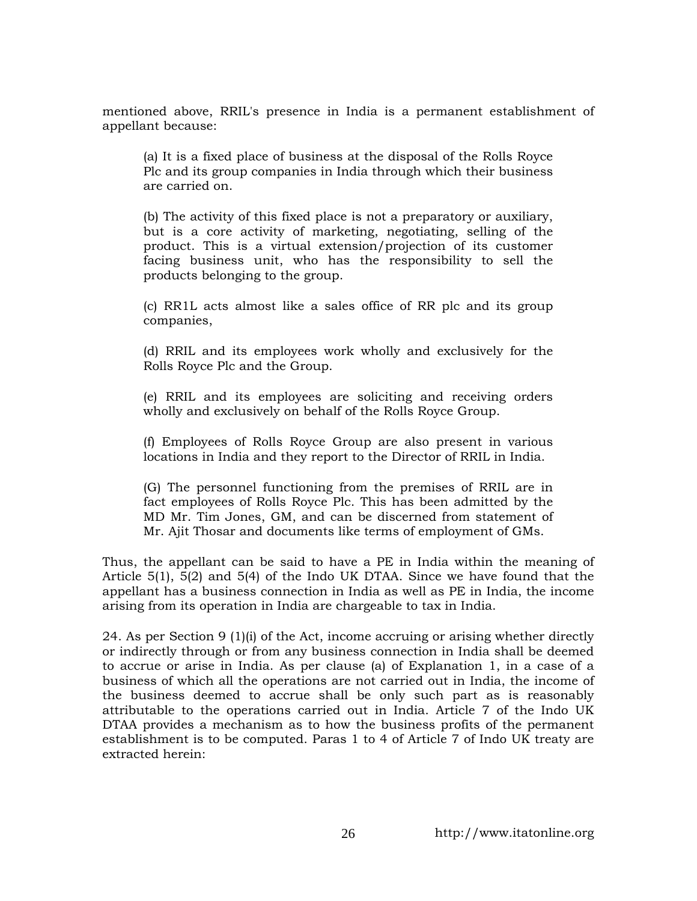mentioned above, RRIL's presence in India is a permanent establishment of appellant because:

(a) It is a fixed place of business at the disposal of the Rolls Royce Plc and its group companies in India through which their business are carried on.

(b) The activity of this fixed place is not a preparatory or auxiliary, but is a core activity of marketing, negotiating, selling of the product. This is a virtual extension/projection of its customer facing business unit, who has the responsibility to sell the products belonging to the group.

(c) RR1L acts almost like a sales office of RR plc and its group companies,

(d) RRIL and its employees work wholly and exclusively for the Rolls Royce Plc and the Group.

(e) RRIL and its employees are soliciting and receiving orders wholly and exclusively on behalf of the Rolls Royce Group.

(f) Employees of Rolls Royce Group are also present in various locations in India and they report to the Director of RRIL in India.

(G) The personnel functioning from the premises of RRIL are in fact employees of Rolls Royce Plc. This has been admitted by the MD Mr. Tim Jones, GM, and can be discerned from statement of Mr. Ajit Thosar and documents like terms of employment of GMs.

Thus, the appellant can be said to have a PE in India within the meaning of Article 5(1), 5(2) and 5(4) of the Indo UK DTAA. Since we have found that the appellant has a business connection in India as well as PE in India, the income arising from its operation in India are chargeable to tax in India.

24. As per Section 9 (1)(i) of the Act, income accruing or arising whether directly or indirectly through or from any business connection in India shall be deemed to accrue or arise in India. As per clause (a) of Explanation 1, in a case of a business of which all the operations are not carried out in India, the income of the business deemed to accrue shall be only such part as is reasonably attributable to the operations carried out in India. Article 7 of the Indo UK DTAA provides a mechanism as to how the business profits of the permanent establishment is to be computed. Paras 1 to 4 of Article 7 of Indo UK treaty are extracted herein: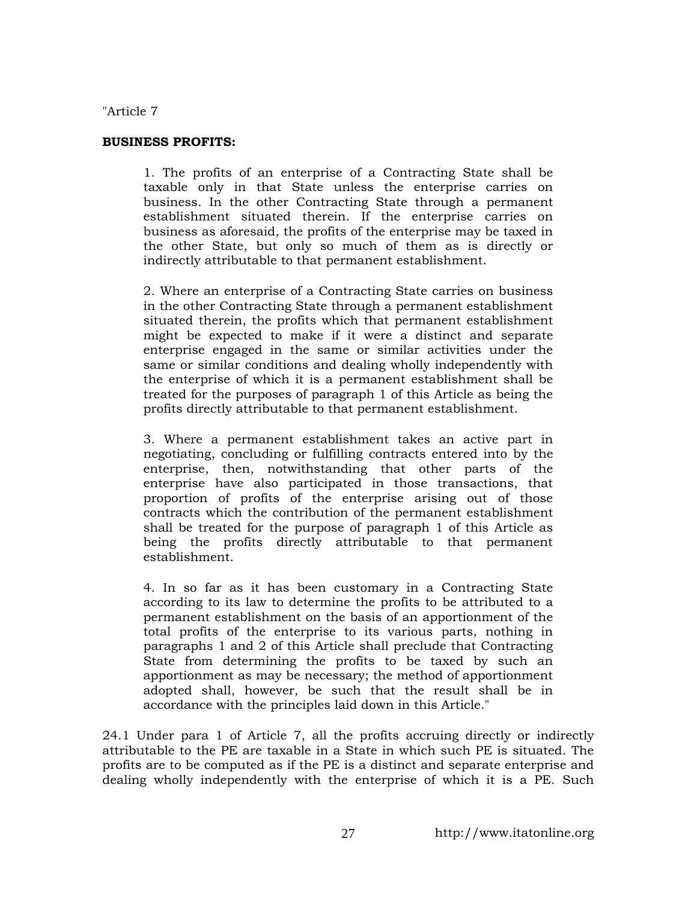"Article 7

### **BUSINESS PROFITS:**

1. The profits of an enterprise of a Contracting State shall be taxable only in that State unless the enterprise carries on business. In the other Contracting State through a permanent establishment situated therein. If the enterprise carries on business as aforesaid, the profits of the enterprise may be taxed in the other State, but only so much of them as is directly or indirectly attributable to that permanent establishment.

2. Where an enterprise of a Contracting State carries on business in the other Contracting State through a permanent establishment situated therein, the profits which that permanent establishment might be expected to make if it were a distinct and separate enterprise engaged in the same or similar activities under the same or similar conditions and dealing wholly independently with the enterprise of which it is a permanent establishment shall be treated for the purposes of paragraph 1 of this Article as being the profits directly attributable to that permanent establishment.

3. Where a permanent establishment takes an active part in negotiating, concluding or fulfilling contracts entered into by the enterprise, then, notwithstanding that other parts of the enterprise have also participated in those transactions, that proportion of profits of the enterprise arising out of those contracts which the contribution of the permanent establishment shall be treated for the purpose of paragraph 1 of this Article as being the profits directly attributable to that permanent establishment.

4. In so far as it has been customary in a Contracting State according to its law to determine the profits to be attributed to a permanent establishment on the basis of an apportionment of the total profits of the enterprise to its various parts, nothing in paragraphs 1 and 2 of this Article shall preclude that Contracting State from determining the profits to be taxed by such an apportionment as may be necessary; the method of apportionment adopted shall, however, be such that the result shall be in accordance with the principles laid down in this Article."

24.1 Under para 1 of Article 7, all the profits accruing directly or indirectly attributable to the PE are taxable in a State in which such PE is situated. The profits are to be computed as if the PE is a distinct and separate enterprise and dealing wholly independently with the enterprise of which it is a PE. Such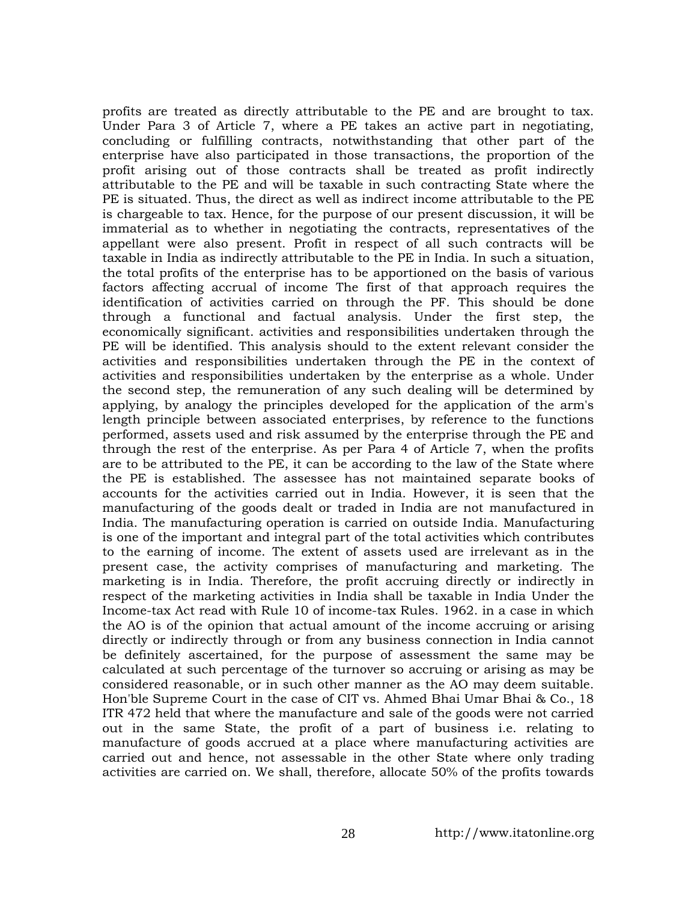profits are treated as directly attributable to the PE and are brought to tax. Under Para 3 of Article 7, where a PE takes an active part in negotiating, concluding or fulfilling contracts, notwithstanding that other part of the enterprise have also participated in those transactions, the proportion of the profit arising out of those contracts shall be treated as profit indirectly attributable to the PE and will be taxable in such contracting State where the PE is situated. Thus, the direct as well as indirect income attributable to the PE is chargeable to tax. Hence, for the purpose of our present discussion, it will be immaterial as to whether in negotiating the contracts, representatives of the appellant were also present. Profit in respect of all such contracts will be taxable in India as indirectly attributable to the PE in India. In such a situation, the total profits of the enterprise has to be apportioned on the basis of various factors affecting accrual of income The first of that approach requires the identification of activities carried on through the PF. This should be done through a functional and factual analysis. Under the first step, the economically significant. activities and responsibilities undertaken through the PE will be identified. This analysis should to the extent relevant consider the activities and responsibilities undertaken through the PE in the context of activities and responsibilities undertaken by the enterprise as a whole. Under the second step, the remuneration of any such dealing will be determined by applying, by analogy the principles developed for the application of the arm's length principle between associated enterprises, by reference to the functions performed, assets used and risk assumed by the enterprise through the PE and through the rest of the enterprise. As per Para 4 of Article 7, when the profits are to be attributed to the PE, it can be according to the law of the State where the PE is established. The assessee has not maintained separate books of accounts for the activities carried out in India. However, it is seen that the manufacturing of the goods dealt or traded in India are not manufactured in India. The manufacturing operation is carried on outside India. Manufacturing is one of the important and integral part of the total activities which contributes to the earning of income. The extent of assets used are irrelevant as in the present case, the activity comprises of manufacturing and marketing. The marketing is in India. Therefore, the profit accruing directly or indirectly in respect of the marketing activities in India shall be taxable in India Under the Income-tax Act read with Rule 10 of income-tax Rules. 1962. in a case in which the AO is of the opinion that actual amount of the income accruing or arising directly or indirectly through or from any business connection in India cannot be definitely ascertained, for the purpose of assessment the same may be calculated at such percentage of the turnover so accruing or arising as may be considered reasonable, or in such other manner as the AO may deem suitable. Hon'ble Supreme Court in the case of CIT vs. Ahmed Bhai Umar Bhai & Co., 18 ITR 472 held that where the manufacture and sale of the goods were not carried out in the same State, the profit of a part of business i.e. relating to manufacture of goods accrued at a place where manufacturing activities are carried out and hence, not assessable in the other State where only trading activities are carried on. We shall, therefore, allocate 50% of the profits towards